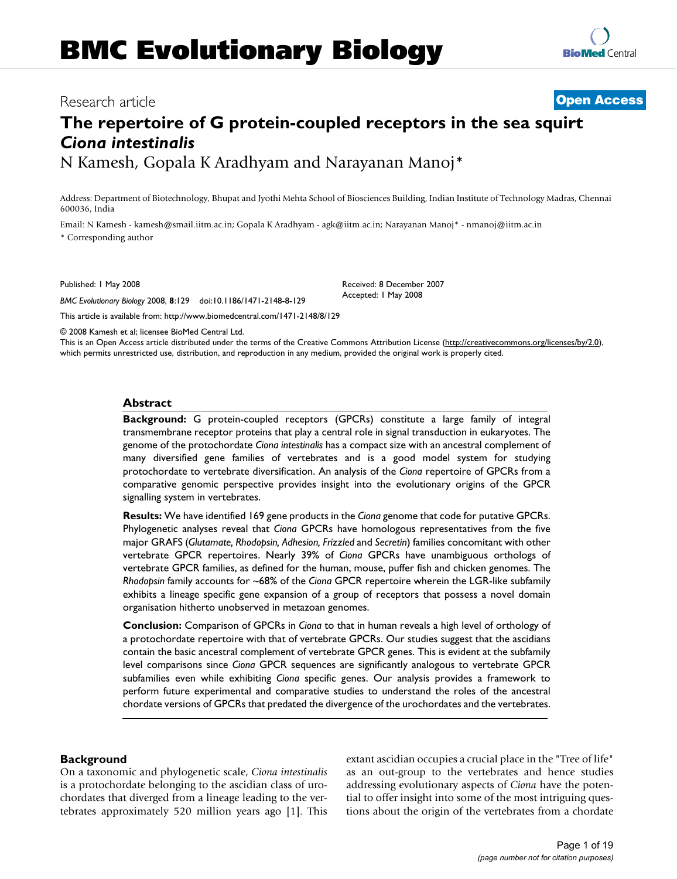# Research article **Open Access**

# **The repertoire of G protein-coupled receptors in the sea squirt**  *Ciona intestinalis* N Kamesh, Gopala K Aradhyam and Narayanan Manoj\*

Address: Department of Biotechnology, Bhupat and Jyothi Mehta School of Biosciences Building, Indian Institute of Technology Madras, Chennai

Email: N Kamesh - kamesh@smail.iitm.ac.in; Gopala K Aradhyam - agk@iitm.ac.in; Narayanan Manoj\* - nmanoj@iitm.ac.in \* Corresponding author

Published: 1 May 2008

600036, India

*BMC Evolutionary Biology* 2008, **8**:129 doi:10.1186/1471-2148-8-129

This article is available from: http://www.biomedcentral.com/1471-2148/8/129

© 2008 Kamesh et al; licensee BioMed Central Ltd.

This is an Open Access article distributed under the terms of the Creative Commons Attribution License (http://creativecommons.org/licenses/by/2.0), which permits unrestricted use, distribution, and reproduction in any medium, provided the original work is properly cited.

#### **Abstract**

**Background:** G protein-coupled receptors (GPCRs) constitute a large family of integral transmembrane receptor proteins that play a central role in signal transduction in eukaryotes. The genome of the protochordate *Ciona intestinalis* has a compact size with an ancestral complement of many diversified gene families of vertebrates and is a good model system for studying protochordate to vertebrate diversification. An analysis of the *Ciona* repertoire of GPCRs from a comparative genomic perspective provides insight into the evolutionary origins of the GPCR signalling system in vertebrates.

**Results:** We have identified 169 gene products in the *Ciona* genome that code for putative GPCRs. Phylogenetic analyses reveal that *Ciona* GPCRs have homologous representatives from the five major GRAFS (*Glutamate, Rhodopsin, Adhesion, Frizzled* and *Secretin*) families concomitant with other vertebrate GPCR repertoires. Nearly 39% of *Ciona* GPCRs have unambiguous orthologs of vertebrate GPCR families, as defined for the human, mouse, puffer fish and chicken genomes. The *Rhodopsin* family accounts for ~68% of the *Ciona* GPCR repertoire wherein the LGR-like subfamily exhibits a lineage specific gene expansion of a group of receptors that possess a novel domain organisation hitherto unobserved in metazoan genomes.

**Conclusion:** Comparison of GPCRs in *Ciona* to that in human reveals a high level of orthology of a protochordate repertoire with that of vertebrate GPCRs. Our studies suggest that the ascidians contain the basic ancestral complement of vertebrate GPCR genes. This is evident at the subfamily level comparisons since *Ciona* GPCR sequences are significantly analogous to vertebrate GPCR subfamilies even while exhibiting *Ciona* specific genes. Our analysis provides a framework to perform future experimental and comparative studies to understand the roles of the ancestral chordate versions of GPCRs that predated the divergence of the urochordates and the vertebrates.

#### **Background**

On a taxonomic and phylogenetic scale, *Ciona intestinalis* is a protochordate belonging to the ascidian class of urochordates that diverged from a lineage leading to the vertebrates approximately 520 million years ago [1]. This extant ascidian occupies a crucial place in the "Tree of life" as an out-group to the vertebrates and hence studies addressing evolutionary aspects of *Ciona* have the potential to offer insight into some of the most intriguing questions about the origin of the vertebrates from a chordate



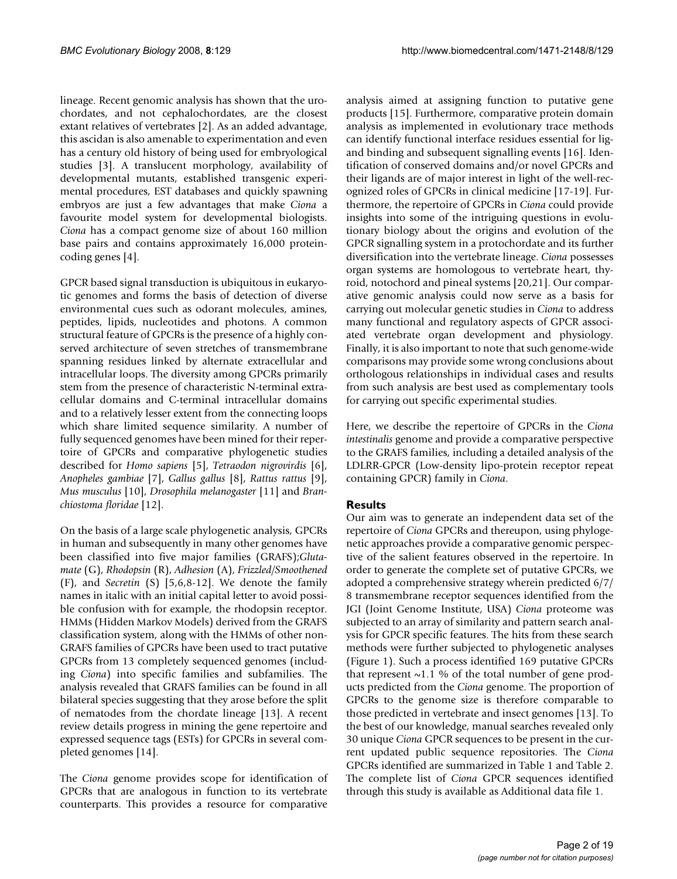lineage. Recent genomic analysis has shown that the urochordates, and not cephalochordates, are the closest extant relatives of vertebrates [2]. As an added advantage, this ascidan is also amenable to experimentation and even has a century old history of being used for embryological studies [3]. A translucent morphology, availability of developmental mutants, established transgenic experimental procedures, EST databases and quickly spawning embryos are just a few advantages that make *Ciona* a favourite model system for developmental biologists. *Ciona* has a compact genome size of about 160 million base pairs and contains approximately 16,000 proteincoding genes [4].

GPCR based signal transduction is ubiquitous in eukaryotic genomes and forms the basis of detection of diverse environmental cues such as odorant molecules, amines, peptides, lipids, nucleotides and photons. A common structural feature of GPCRs is the presence of a highly conserved architecture of seven stretches of transmembrane spanning residues linked by alternate extracellular and intracellular loops. The diversity among GPCRs primarily stem from the presence of characteristic N-terminal extracellular domains and C-terminal intracellular domains and to a relatively lesser extent from the connecting loops which share limited sequence similarity. A number of fully sequenced genomes have been mined for their repertoire of GPCRs and comparative phylogenetic studies described for *Homo sapiens* [5], *Tetraodon nigrovirdis* [6], *Anopheles gambiae* [7], *Gallus gallus* [8], *Rattus rattus* [9], *Mus musculus* [10], *Drosophila melanogaster* [11] and *Branchiostoma floridae* [12].

On the basis of a large scale phylogenetic analysis, GPCRs in human and subsequently in many other genomes have been classified into five major families (GRAFS);*Glutamate* (G), *Rhodopsin* (R), *Adhesion* (A), *Frizzled/Smoothened* (F), and *Secretin* (S) [5,6,8-12]. We denote the family names in italic with an initial capital letter to avoid possible confusion with for example, the rhodopsin receptor. HMMs (Hidden Markov Models) derived from the GRAFS classification system, along with the HMMs of other non-GRAFS families of GPCRs have been used to tract putative GPCRs from 13 completely sequenced genomes (including *Ciona*) into specific families and subfamilies. The analysis revealed that GRAFS families can be found in all bilateral species suggesting that they arose before the split of nematodes from the chordate lineage [13]. A recent review details progress in mining the gene repertoire and expressed sequence tags (ESTs) for GPCRs in several completed genomes [14].

The *Ciona* genome provides scope for identification of GPCRs that are analogous in function to its vertebrate counterparts. This provides a resource for comparative analysis aimed at assigning function to putative gene products [15]. Furthermore, comparative protein domain analysis as implemented in evolutionary trace methods can identify functional interface residues essential for ligand binding and subsequent signalling events [16]. Identification of conserved domains and/or novel GPCRs and their ligands are of major interest in light of the well-recognized roles of GPCRs in clinical medicine [17-19]. Furthermore, the repertoire of GPCRs in *Ciona* could provide insights into some of the intriguing questions in evolutionary biology about the origins and evolution of the GPCR signalling system in a protochordate and its further diversification into the vertebrate lineage. *Ciona* possesses organ systems are homologous to vertebrate heart, thyroid, notochord and pineal systems [20,21]. Our comparative genomic analysis could now serve as a basis for carrying out molecular genetic studies in *Ciona* to address many functional and regulatory aspects of GPCR associated vertebrate organ development and physiology. Finally, it is also important to note that such genome-wide comparisons may provide some wrong conclusions about orthologous relationships in individual cases and results from such analysis are best used as complementary tools for carrying out specific experimental studies.

Here, we describe the repertoire of GPCRs in the *Ciona intestinalis* genome and provide a comparative perspective to the GRAFS families, including a detailed analysis of the LDLRR-GPCR (Low-density lipo-protein receptor repeat containing GPCR) family in *Ciona*.

#### **Results**

Our aim was to generate an independent data set of the repertoire of *Ciona* GPCRs and thereupon, using phylogenetic approaches provide a comparative genomic perspective of the salient features observed in the repertoire. In order to generate the complete set of putative GPCRs, we adopted a comprehensive strategy wherein predicted 6/7/ 8 transmembrane receptor sequences identified from the JGI (Joint Genome Institute, USA) *Ciona* proteome was subjected to an array of similarity and pattern search analysis for GPCR specific features. The hits from these search methods were further subjected to phylogenetic analyses (Figure 1). Such a process identified 169 putative GPCRs that represent  $\sim$ 1.1 % of the total number of gene products predicted from the *Ciona* genome. The proportion of GPCRs to the genome size is therefore comparable to those predicted in vertebrate and insect genomes [13]. To the best of our knowledge, manual searches revealed only 30 unique *Ciona* GPCR sequences to be present in the current updated public sequence repositories. The *Ciona* GPCRs identified are summarized in Table 1 and Table 2. The complete list of *Ciona* GPCR sequences identified through this study is available as Additional data file 1.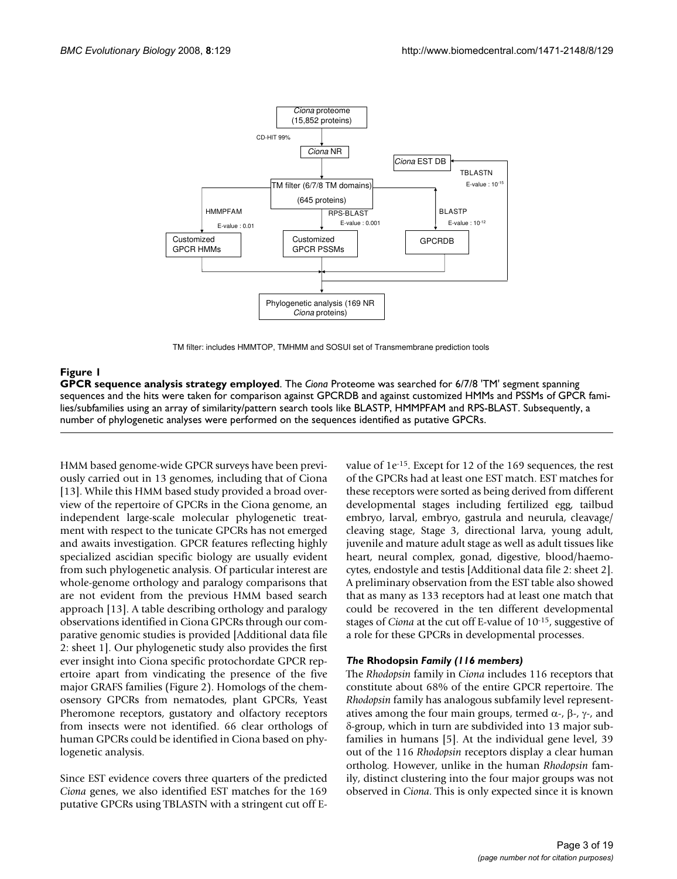

TM filter: includes HMMTOP, TMHMM and SOSUI set of Transmembrane prediction tools

#### Figure 1

**GPCR sequence analysis strategy employed**. The *Ciona* Proteome was searched for 6/7/8 'TM' segment spanning sequences and the hits were taken for comparison against GPCRDB and against customized HMMs and PSSMs of GPCR families/subfamilies using an array of similarity/pattern search tools like BLASTP, HMMPFAM and RPS-BLAST. Subsequently, a number of phylogenetic analyses were performed on the sequences identified as putative GPCRs.

HMM based genome-wide GPCR surveys have been previously carried out in 13 genomes, including that of Ciona [13]. While this HMM based study provided a broad overview of the repertoire of GPCRs in the Ciona genome, an independent large-scale molecular phylogenetic treatment with respect to the tunicate GPCRs has not emerged and awaits investigation. GPCR features reflecting highly specialized ascidian specific biology are usually evident from such phylogenetic analysis. Of particular interest are whole-genome orthology and paralogy comparisons that are not evident from the previous HMM based search approach [13]. A table describing orthology and paralogy observations identified in Ciona GPCRs through our comparative genomic studies is provided [Additional data file 2: sheet 1]. Our phylogenetic study also provides the first ever insight into Ciona specific protochordate GPCR repertoire apart from vindicating the presence of the five major GRAFS families (Figure 2). Homologs of the chemosensory GPCRs from nematodes, plant GPCRs, Yeast Pheromone receptors, gustatory and olfactory receptors from insects were not identified. 66 clear orthologs of human GPCRs could be identified in Ciona based on phylogenetic analysis.

Since EST evidence covers three quarters of the predicted *Ciona* genes, we also identified EST matches for the 169 putative GPCRs using TBLASTN with a stringent cut off E-

value of 1e-15. Except for 12 of the 169 sequences, the rest of the GPCRs had at least one EST match. EST matches for these receptors were sorted as being derived from different developmental stages including fertilized egg, tailbud embryo, larval, embryo, gastrula and neurula, cleavage/ cleaving stage, Stage 3, directional larva, young adult, juvenile and mature adult stage as well as adult tissues like heart, neural complex, gonad, digestive, blood/haemocytes, endostyle and testis [Additional data file 2: sheet 2]. A preliminary observation from the EST table also showed that as many as 133 receptors had at least one match that could be recovered in the ten different developmental stages of *Ciona* at the cut off E-value of 10-15, suggestive of a role for these GPCRs in developmental processes.

#### *The* **Rhodopsin** *Family (116 members)*

The *Rhodopsin* family in *Ciona* includes 116 receptors that constitute about 68% of the entire GPCR repertoire. The *Rhodopsin* family has analogous subfamily level representatives among the four main groups, termed  $\alpha$ -,  $\beta$ -,  $\gamma$ -, and G-group, which in turn are subdivided into 13 major subfamilies in humans [5]. At the individual gene level, 39 out of the 116 *Rhodopsin* receptors display a clear human ortholog. However, unlike in the human *Rhodopsin* family, distinct clustering into the four major groups was not observed in *Ciona*. This is only expected since it is known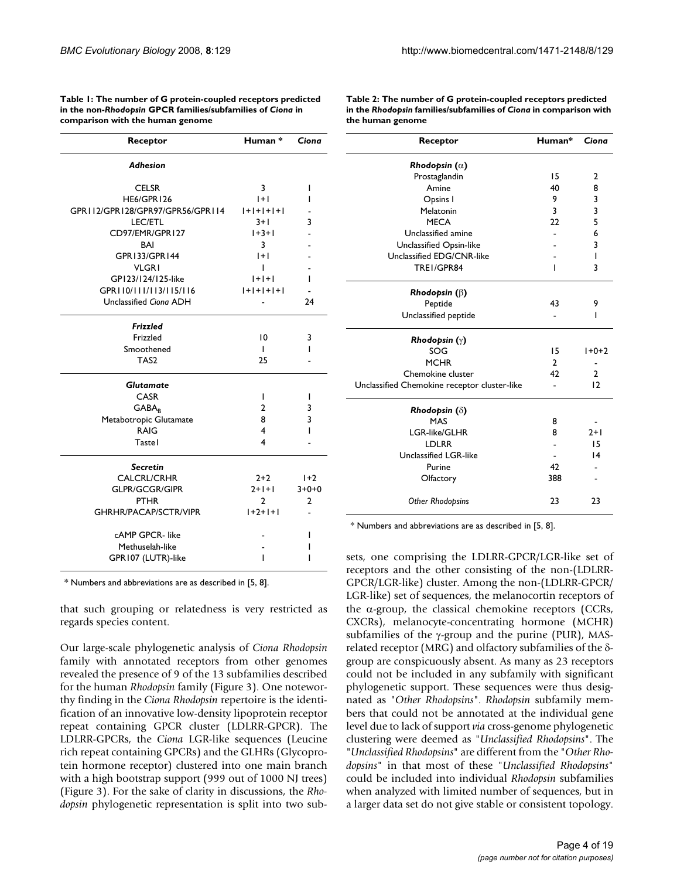**Receptor Human\*** *Ciona*

Prostaglandin 15 15 Amine 8 Opsins l 9 3 Melatonin 3 3 3 MECA 22 5 Unclassified amine **can be a controlled amine** and the set of  $\sim$  6 Unclassified Opsin-like **3** Unclassified EDG/CNR-like - 1<br>TREI/GPR84 1 3 TREI/GPR84 |

Peptide 43 9 Unclassified peptide and the set of the 1

SOG 15 1+0+2

MAS 8 - LGR-like/GLHR 8 2+1 LDLRR - 15 Unclassified LGR-like **14** Purine 42 -

MCHR 2 Chemokine cluster 12 12

Olfactory 388

*Other Rhodopsins* 23 23

Unclassified Chemokine receptor cluster-like - 12

| Receptor                         | Human *             | Ciona   |  |
|----------------------------------|---------------------|---------|--|
| Adhesion                         |                     |         |  |
| <b>CELSR</b>                     | 3                   | I       |  |
| HE6/GPR126                       | $ + $               | I       |  |
| GPRII2/GPRI28/GPR97/GPR56/GPRII4 | $ + + + + $         |         |  |
| <b>LEC/ETL</b>                   | $3 + 1$             | 3       |  |
| CD97/EMR/GPR127                  | $ +3+ $             |         |  |
| BAI                              | 3                   |         |  |
| GPR133/GPR144                    | $ + $               |         |  |
| <b>VLGRI</b>                     | I                   |         |  |
| GP123/124/125-like               | $ + + $             | I       |  |
| GPR110/111/113/115/116           | $ + + + + $         |         |  |
| Unclassified Ciona ADH           |                     | 24      |  |
| Frizzled                         |                     |         |  |
| Frizzled                         | 10                  | 3       |  |
| Smoothened                       | $\mathbf{I}$        | I       |  |
| TAS <sub>2</sub>                 | 25                  |         |  |
| Glutamate                        |                     |         |  |
| <b>CASR</b>                      | L                   | I       |  |
| $GABA_B$                         | $\overline{2}$      | 3       |  |
| Metabotropic Glutamate           | 8                   | 3       |  |
| <b>RAIG</b>                      | 4                   | I       |  |
| Tastel                           | 4                   |         |  |
| Secretin                         |                     |         |  |
| <b>CALCRL/CRHR</b>               | $2+2$               | $1+2$   |  |
| <b>GLPR/GCGR/GIPR</b>            | $2+ + $             | $3+0+0$ |  |
| <b>PTHR</b>                      | $\overline{2}$<br>2 |         |  |
| <b>GHRHR/PACAP/SCTR/VIPR</b>     | $1+2+1+1$           |         |  |
| cAMP GPCR-like                   |                     | ı       |  |
| Methuselah-like                  |                     | ı       |  |
| GPR107 (LUTR)-like               | ı                   | ı       |  |

**Table 1: The number of G protein-coupled receptors predicted in the non-***Rhodopsin* **GPCR families/subfamilies of** *Ciona* **in comparison with the human genome**

**Table 2: The number of G protein-coupled receptors predicted in the** *Rhodopsin* **families/subfamilies of** *Ciona* **in comparison with the human genome**

 $R$ *hodopsin* ( $\alpha$ )

*Rhodopsin* **(**E**)**

*Rhodopsin* ( $\gamma$ )

*Rhodopsin* **(**G**)**

\* Numbers and abbreviations are as described in [5, 8].

sets, one comprising the LDLRR-GPCR/LGR-like set of receptors and the other consisting of the non-(LDLRR-GPCR/LGR-like) cluster. Among the non-(LDLRR-GPCR/ LGR-like) set of sequences, the melanocortin receptors of the  $\alpha$ -group, the classical chemokine receptors (CCRs, CXCRs), melanocyte-concentrating hormone (MCHR) subfamilies of the  $\gamma$ -group and the purine (PUR), MASrelated receptor (MRG) and olfactory subfamilies of the  $\delta$ group are conspicuously absent. As many as 23 receptors could not be included in any subfamily with significant phylogenetic support. These sequences were thus designated as "*Other Rhodopsins*". *Rhodopsin* subfamily members that could not be annotated at the individual gene level due to lack of support *via* cross-genome phylogenetic clustering were deemed as "*Unclassified Rhodopsins*". The "*Unclassified Rhodopsins*" are different from the "*Other Rhodopsins*" in that most of these "*Unclassified Rhodopsins*" could be included into individual *Rhodopsin* subfamilies when analyzed with limited number of sequences, but in a larger data set do not give stable or consistent topology.

\* Numbers and abbreviations are as described in [5, 8].

that such grouping or relatedness is very restricted as regards species content.

Our large-scale phylogenetic analysis of *Ciona Rhodopsin* family with annotated receptors from other genomes revealed the presence of 9 of the 13 subfamilies described for the human *Rhodopsin* family (Figure 3). One noteworthy finding in the *Ciona Rhodopsin* repertoire is the identification of an innovative low-density lipoprotein receptor repeat containing GPCR cluster (LDLRR-GPCR). The LDLRR-GPCRs, the *Ciona* LGR-like sequences (Leucine rich repeat containing GPCRs) and the GLHRs (Glycoprotein hormone receptor) clustered into one main branch with a high bootstrap support (999 out of 1000 NJ trees) (Figure 3). For the sake of clarity in discussions, the *Rhodopsin* phylogenetic representation is split into two sub-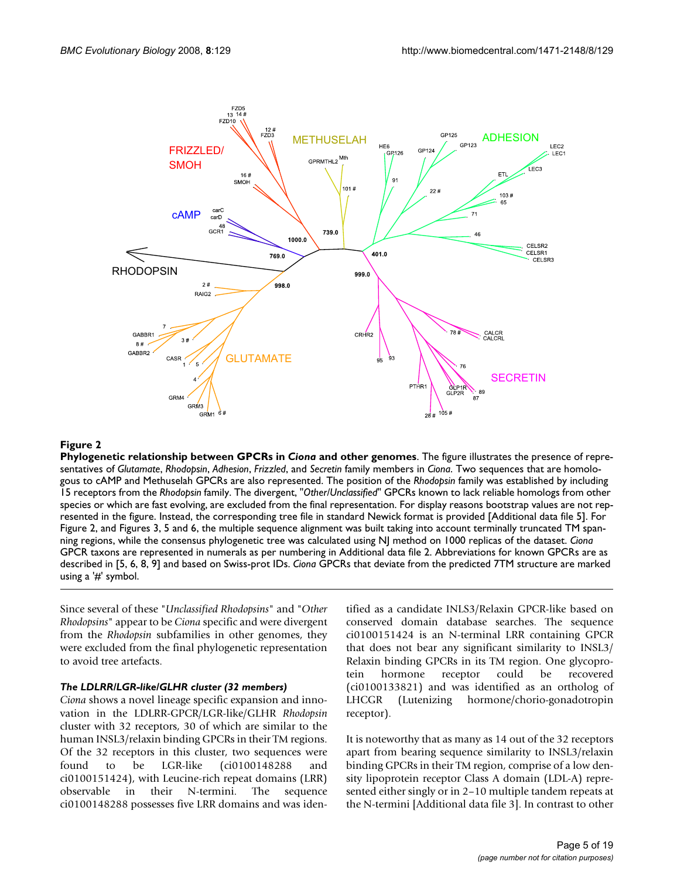

#### **Figure 2**

**Phylogenetic relationship between GPCRs in** *Ciona* **and other genomes**. The figure illustrates the presence of representatives of *Glutamate*, *Rhodopsin*, *Adhesion*, *Frizzled*, and *Secretin* family members in *Ciona*. Two sequences that are homologous to cAMP and Methuselah GPCRs are also represented. The position of the *Rhodopsin* family was established by including 15 receptors from the *Rhodopsin* family. The divergent, "*Other/Unclassified*" GPCRs known to lack reliable homologs from other species or which are fast evolving, are excluded from the final representation. For display reasons bootstrap values are not represented in the figure. Instead, the corresponding tree file in standard Newick format is provided [Additional data file 5]. For Figure 2, and Figures 3, 5 and 6, the multiple sequence alignment was built taking into account terminally truncated TM spanning regions, while the consensus phylogenetic tree was calculated using NJ method on 1000 replicas of the dataset. *Ciona*  GPCR taxons are represented in numerals as per numbering in Additional data file 2. Abbreviations for known GPCRs are as described in [5, 6, 8, 9] and based on Swiss-prot IDs. *Ciona* GPCRs that deviate from the predicted 7TM structure are marked using a '#' symbol.

Since several of these "*Unclassified Rhodopsins*" and "*Other Rhodopsins*" appear to be *Ciona* specific and were divergent from the *Rhodopsin* subfamilies in other genomes, they were excluded from the final phylogenetic representation to avoid tree artefacts.

#### *The LDLRR/LGR-like/GLHR cluster (32 members)*

*Ciona* shows a novel lineage specific expansion and innovation in the LDLRR-GPCR/LGR-like/GLHR *Rhodopsin* cluster with 32 receptors, 30 of which are similar to the human INSL3/relaxin binding GPCRs in their TM regions. Of the 32 receptors in this cluster, two sequences were found to be LGR-like (ci0100148288 and ci0100151424), with Leucine-rich repeat domains (LRR) observable in their N-termini. The sequence ci0100148288 possesses five LRR domains and was identified as a candidate INLS3/Relaxin GPCR-like based on conserved domain database searches. The sequence ci0100151424 is an N-terminal LRR containing GPCR that does not bear any significant similarity to INSL3/ Relaxin binding GPCRs in its TM region. One glycoprotein hormone receptor could be recovered (ci0100133821) and was identified as an ortholog of LHCGR (Lutenizing hormone/chorio-gonadotropin receptor).

It is noteworthy that as many as 14 out of the 32 receptors apart from bearing sequence similarity to INSL3/relaxin binding GPCRs in their TM region, comprise of a low density lipoprotein receptor Class A domain (LDL-A) represented either singly or in 2–10 multiple tandem repeats at the N-termini [Additional data file 3]. In contrast to other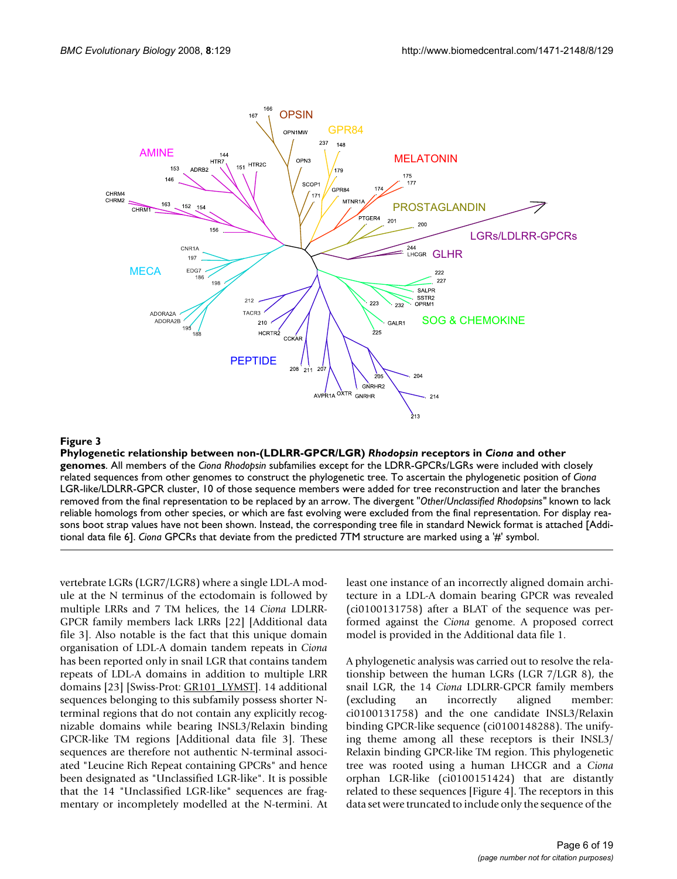

#### **Figure 3** Phylogenetic relationship between non-(LDLRR-GPCR/LGR) *Rhodopsin* receptors in *Ciona* and other genomes

**Phylogenetic relationship between non-(LDLRR-GPCR/LGR)** *Rhodopsin* **receptors in** *Ciona* **and other genomes**. All members of the *Ciona Rhodopsin* subfamilies except for the LDRR-GPCRs/LGRs were included with closely related sequences from other genomes to construct the phylogenetic tree. To ascertain the phylogenetic position of *Ciona*  LGR-like/LDLRR-GPCR cluster, 10 of those sequence members were added for tree reconstruction and later the branches removed from the final representation to be replaced by an arrow. The divergent "*Other/Unclassified Rhodopsins"* known to lack reliable homologs from other species, or which are fast evolving were excluded from the final representation. For display reasons boot strap values have not been shown. Instead, the corresponding tree file in standard Newick format is attached [Additional data file 6]. *Ciona* GPCRs that deviate from the predicted 7TM structure are marked using a '#' symbol.

vertebrate LGRs (LGR7/LGR8) where a single LDL-A module at the N terminus of the ectodomain is followed by multiple LRRs and 7 TM helices, the 14 *Ciona* LDLRR-GPCR family members lack LRRs [22] [Additional data file 3]. Also notable is the fact that this unique domain organisation of LDL-A domain tandem repeats in *Ciona* has been reported only in snail LGR that contains tandem repeats of LDL-A domains in addition to multiple LRR domains [23] [Swiss-Prot: GR101\_LYMST]. 14 additional sequences belonging to this subfamily possess shorter Nterminal regions that do not contain any explicitly recognizable domains while bearing INSL3/Relaxin binding GPCR-like TM regions [Additional data file 3]. These sequences are therefore not authentic N-terminal associated "Leucine Rich Repeat containing GPCRs" and hence been designated as "Unclassified LGR-like". It is possible that the 14 "Unclassified LGR-like" sequences are fragmentary or incompletely modelled at the N-termini. At

least one instance of an incorrectly aligned domain architecture in a LDL-A domain bearing GPCR was revealed (ci0100131758) after a BLAT of the sequence was performed against the *Ciona* genome. A proposed correct model is provided in the Additional data file 1.

A phylogenetic analysis was carried out to resolve the relationship between the human LGRs (LGR 7/LGR 8), the snail LGR, the 14 *Ciona* LDLRR-GPCR family members (excluding an incorrectly aligned member: ci0100131758) and the one candidate INSL3/Relaxin binding GPCR-like sequence (ci0100148288). The unifying theme among all these receptors is their INSL3/ Relaxin binding GPCR-like TM region. This phylogenetic tree was rooted using a human LHCGR and a *Ciona* orphan LGR-like (ci0100151424) that are distantly related to these sequences [Figure 4]. The receptors in this data set were truncated to include only the sequence of the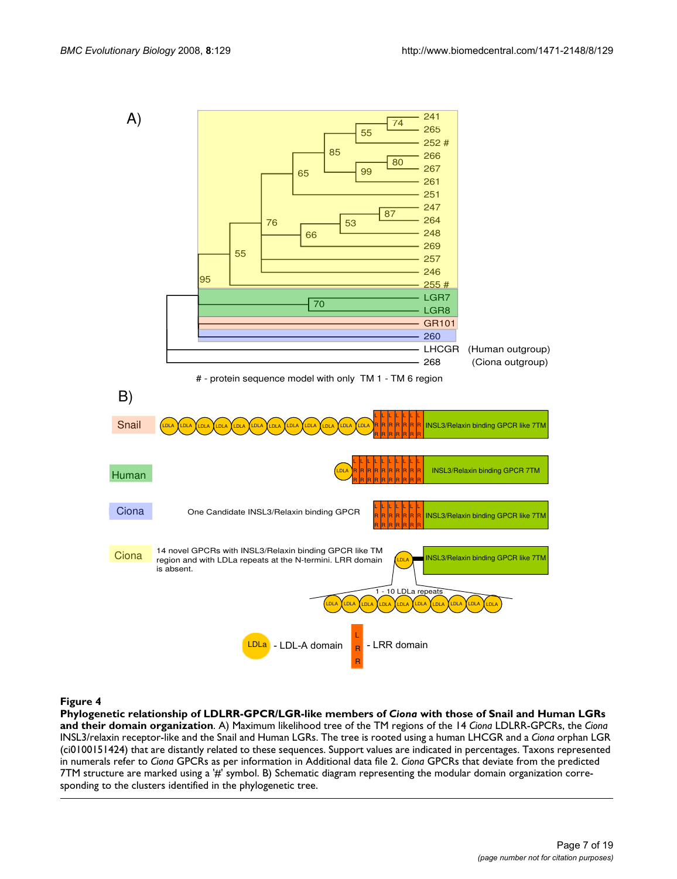

#### organization **Figure 4** Phylogenetic relationship of LDLRR-GPCR/LGR-like members of *Ciona* with those of Snail and Human LGRs and their domain

**Phylogenetic relationship of LDLRR-GPCR/LGR-like members of** *Ciona* **with those of Snail and Human LGRs and their domain organization**. A) Maximum likelihood tree of the TM regions of the 14 *Ciona* LDLRR-GPCRs, the *Ciona*  INSL3/relaxin receptor-like and the Snail and Human LGRs. The tree is rooted using a human LHCGR and a *Ciona* orphan LGR (ci0100151424) that are distantly related to these sequences. Support values are indicated in percentages. Taxons represented in numerals refer to *Ciona* GPCRs as per information in Additional data file 2. *Ciona* GPCRs that deviate from the predicted 7TM structure are marked using a '#' symbol. B) Schematic diagram representing the modular domain organization corresponding to the clusters identified in the phylogenetic tree.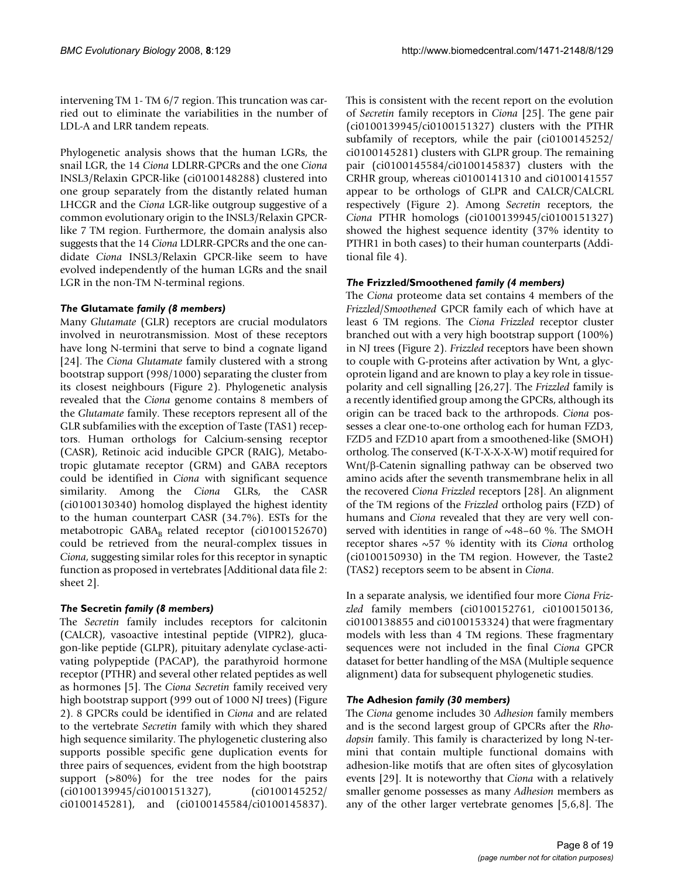intervening TM 1- TM 6/7 region. This truncation was carried out to eliminate the variabilities in the number of LDL-A and LRR tandem repeats.

Phylogenetic analysis shows that the human LGRs, the snail LGR, the 14 *Ciona* LDLRR-GPCRs and the one *Ciona* INSL3/Relaxin GPCR-like (ci0100148288) clustered into one group separately from the distantly related human LHCGR and the *Ciona* LGR-like outgroup suggestive of a common evolutionary origin to the INSL3/Relaxin GPCRlike 7 TM region. Furthermore, the domain analysis also suggests that the 14 *Ciona* LDLRR-GPCRs and the one candidate *Ciona* INSL3/Relaxin GPCR-like seem to have evolved independently of the human LGRs and the snail LGR in the non-TM N-terminal regions.

#### *The* **Glutamate** *family (8 members)*

Many *Glutamate* (GLR) receptors are crucial modulators involved in neurotransmission. Most of these receptors have long N-termini that serve to bind a cognate ligand [24]. The *Ciona Glutamate* family clustered with a strong bootstrap support (998/1000) separating the cluster from its closest neighbours (Figure 2). Phylogenetic analysis revealed that the *Ciona* genome contains 8 members of the *Glutamate* family. These receptors represent all of the GLR subfamilies with the exception of Taste (TAS1) receptors. Human orthologs for Calcium-sensing receptor (CASR), Retinoic acid inducible GPCR (RAIG), Metabotropic glutamate receptor (GRM) and GABA receptors could be identified in *Ciona* with significant sequence similarity. Among the *Ciona* GLRs, the CASR (ci0100130340) homolog displayed the highest identity to the human counterpart CASR (34.7%). ESTs for the metabotropic  $GABA_B$  related receptor (ci0100152670) could be retrieved from the neural-complex tissues in *Ciona*, suggesting similar roles for this receptor in synaptic function as proposed in vertebrates [Additional data file 2: sheet 2].

#### *The* **Secretin** *family (8 members)*

The *Secretin* family includes receptors for calcitonin (CALCR), vasoactive intestinal peptide (VIPR2), glucagon-like peptide (GLPR), pituitary adenylate cyclase-activating polypeptide (PACAP), the parathyroid hormone receptor (PTHR) and several other related peptides as well as hormones [5]. The *Ciona Secretin* family received very high bootstrap support (999 out of 1000 NJ trees) (Figure 2). 8 GPCRs could be identified in *Ciona* and are related to the vertebrate *Secretin* family with which they shared high sequence similarity. The phylogenetic clustering also supports possible specific gene duplication events for three pairs of sequences, evident from the high bootstrap support (>80%) for the tree nodes for the pairs (ci0100139945/ci0100151327), (ci0100145252/ ci0100145281), and (ci0100145584/ci0100145837).

This is consistent with the recent report on the evolution of *Secretin* family receptors in *Ciona* [25]. The gene pair (ci0100139945/ci0100151327) clusters with the PTHR subfamily of receptors, while the pair (ci0100145252/ ci0100145281) clusters with GLPR group. The remaining pair (ci0100145584/ci0100145837) clusters with the CRHR group, whereas ci0100141310 and ci0100141557 appear to be orthologs of GLPR and CALCR/CALCRL respectively (Figure 2). Among *Secretin* receptors, the *Ciona* PTHR homologs (ci0100139945/ci0100151327) showed the highest sequence identity (37% identity to PTHR1 in both cases) to their human counterparts (Additional file 4).

# *The* **Frizzled/Smoothened** *family (4 members)*

The *Ciona* proteome data set contains 4 members of the *Frizzled*/*Smoothened* GPCR family each of which have at least 6 TM regions. The *Ciona Frizzled* receptor cluster branched out with a very high bootstrap support (100%) in NJ trees (Figure 2). *Frizzled* receptors have been shown to couple with G-proteins after activation by Wnt, a glycoprotein ligand and are known to play a key role in tissuepolarity and cell signalling [26,27]. The *Frizzled* family is a recently identified group among the GPCRs, although its origin can be traced back to the arthropods. *Ciona* possesses a clear one-to-one ortholog each for human FZD3, FZD5 and FZD10 apart from a smoothened-like (SMOH) ortholog. The conserved (K-T-X-X-X-W) motif required for  $Wnt/\beta$ -Catenin signalling pathway can be observed two amino acids after the seventh transmembrane helix in all the recovered *Ciona Frizzled* receptors [28]. An alignment of the TM regions of the *Frizzled* ortholog pairs (FZD) of humans and *Ciona* revealed that they are very well conserved with identities in range of  $~48-60$  %. The SMOH receptor shares ~57 % identity with its *Ciona* ortholog (ci0100150930) in the TM region. However, the Taste2 (TAS2) receptors seem to be absent in *Ciona*.

In a separate analysis, we identified four more *Ciona Frizzled* family members (ci0100152761, ci0100150136, ci0100138855 and ci0100153324) that were fragmentary models with less than 4 TM regions. These fragmentary sequences were not included in the final *Ciona* GPCR dataset for better handling of the MSA (Multiple sequence alignment) data for subsequent phylogenetic studies.

# *The* **Adhesion** *family (30 members)*

The *Ciona* genome includes 30 *Adhesion* family members and is the second largest group of GPCRs after the *Rhodopsin* family. This family is characterized by long N-termini that contain multiple functional domains with adhesion-like motifs that are often sites of glycosylation events [29]. It is noteworthy that *Ciona* with a relatively smaller genome possesses as many *Adhesion* members as any of the other larger vertebrate genomes [5,6,8]. The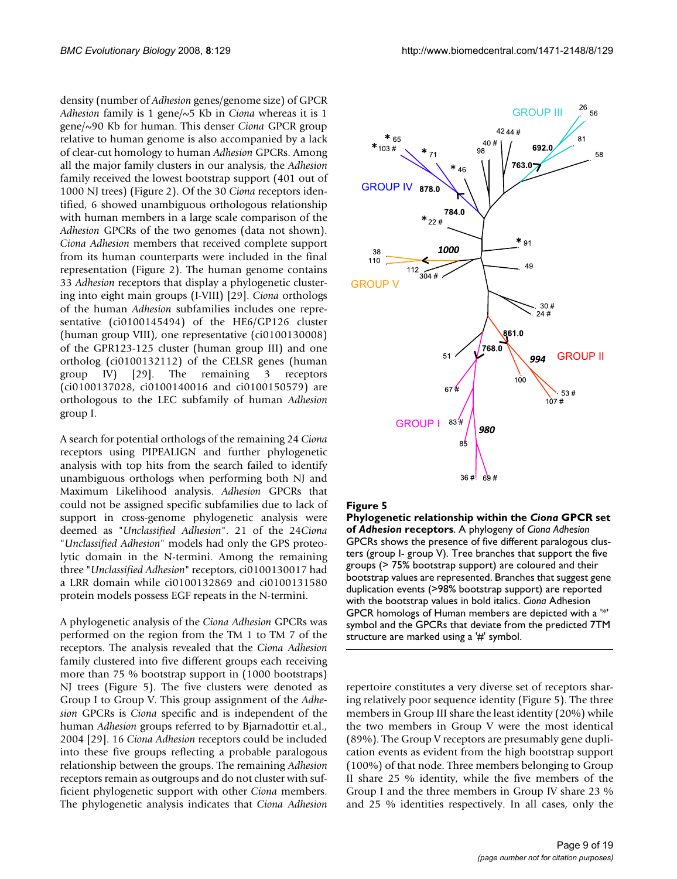density (number of *Adhesion* genes/genome size) of GPCR *Adhesion* family is 1 gene/~5 Kb in *Ciona* whereas it is 1 gene/~90 Kb for human. This denser *Ciona* GPCR group relative to human genome is also accompanied by a lack of clear-cut homology to human *Adhesion* GPCRs. Among all the major family clusters in our analysis, the *Adhesion* family received the lowest bootstrap support (401 out of 1000 NJ trees) (Figure 2). Of the 30 *Ciona* receptors identified, 6 showed unambiguous orthologous relationship with human members in a large scale comparison of the *Adhesion* GPCRs of the two genomes (data not shown). *Ciona Adhesion* members that received complete support from its human counterparts were included in the final representation (Figure 2). The human genome contains 33 *Adhesion* receptors that display a phylogenetic clustering into eight main groups (I-VIII) [29]. *Ciona* orthologs of the human *Adhesion* subfamilies includes one representative (ci0100145494) of the HE6/GP126 cluster (human group VIII), one representative (ci0100130008) of the GPR123-125 cluster (human group III) and one ortholog (ci0100132112) of the CELSR genes (human group IV) [29]. The remaining 3 receptors (ci0100137028, ci0100140016 and ci0100150579) are orthologous to the LEC subfamily of human *Adhesion* group I.

A search for potential orthologs of the remaining 24 *Ciona* receptors using PIPEALIGN and further phylogenetic analysis with top hits from the search failed to identify unambiguous orthologs when performing both NJ and Maximum Likelihood analysis. *Adhesion* GPCRs that could not be assigned specific subfamilies due to lack of support in cross-genome phylogenetic analysis were deemed as "*Unclassified Adhesion*". 21 of the 24*Ciona* "*Unclassified Adhesion*" models had only the GPS proteolytic domain in the N-termini. Among the remaining three "*Unclassified Adhesion*" receptors, ci0100130017 had a LRR domain while ci0100132869 and ci0100131580 protein models possess EGF repeats in the N-termini.

A phylogenetic analysis of the *Ciona Adhesion* GPCRs was performed on the region from the TM 1 to TM 7 of the receptors. The analysis revealed that the *Ciona Adhesion* family clustered into five different groups each receiving more than 75 % bootstrap support in (1000 bootstraps) NJ trees (Figure 5). The five clusters were denoted as Group I to Group V. This group assignment of the *Adhesion* GPCRs is *Ciona* specific and is independent of the human *Adhesion* groups referred to by Bjarnadottir et.al., 2004 [29]. 16 *Ciona Adhesion* receptors could be included into these five groups reflecting a probable paralogous relationship between the groups. The remaining *Adhesion* receptors remain as outgroups and do not cluster with sufficient phylogenetic support with other *Ciona* members. The phylogenetic analysis indicates that *Ciona Adhesion*



#### **Figure 5**

**Phylogenetic relationship within the** *Ciona* **GPCR set of** *Adhesion* **receptors**. A phylogeny of *Ciona Adhesion*  GPCRs shows the presence of five different paralogous clusters (group I- group V). Tree branches that support the five groups (> 75% bootstrap support) are coloured and their bootstrap values are represented. Branches that suggest gene duplication events (>98% bootstrap support) are reported with the bootstrap values in bold italics. *Ciona* Adhesion GPCR homologs of Human members are depicted with a '\*' symbol and the GPCRs that deviate from the predicted 7TM structure are marked using a '#' symbol.

repertoire constitutes a very diverse set of receptors sharing relatively poor sequence identity (Figure 5). The three members in Group III share the least identity (20%) while the two members in Group V were the most identical (89%). The Group V receptors are presumably gene duplication events as evident from the high bootstrap support (100%) of that node. Three members belonging to Group II share 25 % identity, while the five members of the Group I and the three members in Group IV share 23 % and 25 % identities respectively. In all cases, only the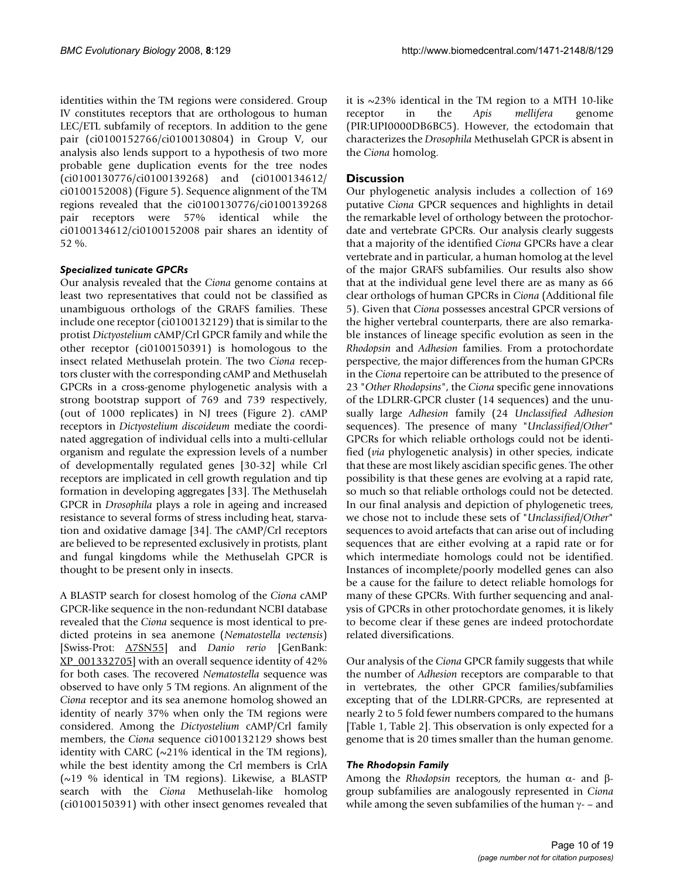identities within the TM regions were considered. Group IV constitutes receptors that are orthologous to human LEC/ETL subfamily of receptors. In addition to the gene pair (ci0100152766/ci0100130804) in Group V, our analysis also lends support to a hypothesis of two more probable gene duplication events for the tree nodes (ci0100130776/ci0100139268) and (ci0100134612/ ci0100152008) (Figure 5). Sequence alignment of the TM regions revealed that the ci0100130776/ci0100139268 pair receptors were 57% identical while the ci0100134612/ci0100152008 pair shares an identity of 52 %.

#### *Specialized tunicate GPCRs*

Our analysis revealed that the *Ciona* genome contains at least two representatives that could not be classified as unambiguous orthologs of the GRAFS families. These include one receptor (ci0100132129) that is similar to the protist *Dictyostelium* cAMP/Crl GPCR family and while the other receptor (ci0100150391) is homologous to the insect related Methuselah protein. The two *Ciona* receptors cluster with the corresponding cAMP and Methuselah GPCRs in a cross-genome phylogenetic analysis with a strong bootstrap support of 769 and 739 respectively, (out of 1000 replicates) in NJ trees (Figure 2). cAMP receptors in *Dictyostelium discoideum* mediate the coordinated aggregation of individual cells into a multi-cellular organism and regulate the expression levels of a number of developmentally regulated genes [30-32] while Crl receptors are implicated in cell growth regulation and tip formation in developing aggregates [33]. The Methuselah GPCR in *Drosophila* plays a role in ageing and increased resistance to several forms of stress including heat, starvation and oxidative damage [34]. The cAMP/Crl receptors are believed to be represented exclusively in protists, plant and fungal kingdoms while the Methuselah GPCR is thought to be present only in insects.

A BLASTP search for closest homolog of the *Ciona* cAMP GPCR-like sequence in the non-redundant NCBI database revealed that the *Ciona* sequence is most identical to predicted proteins in sea anemone (*Nematostella vectensis*) [Swiss-Prot: A7SN55] and *Danio rerio* [GenBank:  $XP$  001332705] with an overall sequence identity of 42% for both cases. The recovered *Nematostella* sequence was observed to have only 5 TM regions. An alignment of the *Ciona* receptor and its sea anemone homolog showed an identity of nearly 37% when only the TM regions were considered. Among the *Dictyostelium* cAMP/Crl family members, the *Ciona* sequence ci0100132129 shows best identity with CARC  $(\sim 21\%$  identical in the TM regions), while the best identity among the Crl members is CrlA (~19 % identical in TM regions). Likewise, a BLASTP search with the *Ciona* Methuselah-like homolog (ci0100150391) with other insect genomes revealed that it is  $\sim$ 23% identical in the TM region to a MTH 10-like receptor in the *Apis mellifera* genome (PIR:UPI0000DB6BC5). However, the ectodomain that characterizes the *Drosophila* Methuselah GPCR is absent in the *Ciona* homolog.

#### **Discussion**

Our phylogenetic analysis includes a collection of 169 putative *Ciona* GPCR sequences and highlights in detail the remarkable level of orthology between the protochordate and vertebrate GPCRs. Our analysis clearly suggests that a majority of the identified *Ciona* GPCRs have a clear vertebrate and in particular, a human homolog at the level of the major GRAFS subfamilies. Our results also show that at the individual gene level there are as many as 66 clear orthologs of human GPCRs in *Ciona* (Additional file 5). Given that *Ciona* possesses ancestral GPCR versions of the higher vertebral counterparts, there are also remarkable instances of lineage specific evolution as seen in the *Rhodopsin* and *Adhesion* families. From a protochordate perspective, the major differences from the human GPCRs in the *Ciona* repertoire can be attributed to the presence of 23 "*Other Rhodopsins*", the *Ciona* specific gene innovations of the LDLRR-GPCR cluster (14 sequences) and the unusually large *Adhesion* family (24 *Unclassified Adhesion* sequences). The presence of many "*Unclassified/Other*" GPCRs for which reliable orthologs could not be identified (*via* phylogenetic analysis) in other species, indicate that these are most likely ascidian specific genes. The other possibility is that these genes are evolving at a rapid rate, so much so that reliable orthologs could not be detected. In our final analysis and depiction of phylogenetic trees, we chose not to include these sets of "*Unclassified/Other*" sequences to avoid artefacts that can arise out of including sequences that are either evolving at a rapid rate or for which intermediate homologs could not be identified. Instances of incomplete/poorly modelled genes can also be a cause for the failure to detect reliable homologs for many of these GPCRs. With further sequencing and analysis of GPCRs in other protochordate genomes, it is likely to become clear if these genes are indeed protochordate related diversifications.

Our analysis of the *Ciona* GPCR family suggests that while the number of *Adhesion* receptors are comparable to that in vertebrates, the other GPCR families/subfamilies excepting that of the LDLRR-GPCRs, are represented at nearly 2 to 5 fold fewer numbers compared to the humans [Table 1, Table 2]. This observation is only expected for a genome that is 20 times smaller than the human genome.

#### *The Rhodopsin Family*

Among the *Rhodopsin* receptors, the human  $\alpha$ - and  $\beta$ group subfamilies are analogously represented in *Ciona* while among the seven subfamilies of the human  $\gamma$ - – and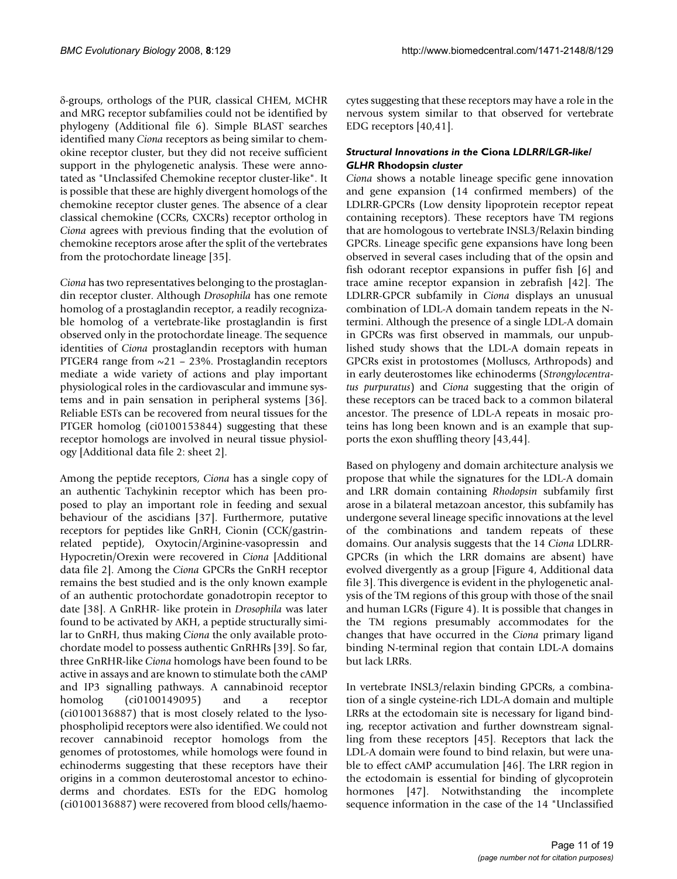G-groups, orthologs of the PUR, classical CHEM, MCHR and MRG receptor subfamilies could not be identified by phylogeny (Additional file 6). Simple BLAST searches identified many *Ciona* receptors as being similar to chemokine receptor cluster, but they did not receive sufficient support in the phylogenetic analysis. These were annotated as "Unclassifed Chemokine receptor cluster-like". It is possible that these are highly divergent homologs of the chemokine receptor cluster genes. The absence of a clear classical chemokine (CCRs, CXCRs) receptor ortholog in *Ciona* agrees with previous finding that the evolution of chemokine receptors arose after the split of the vertebrates from the protochordate lineage [35].

*Ciona* has two representatives belonging to the prostaglandin receptor cluster. Although *Drosophila* has one remote homolog of a prostaglandin receptor, a readily recognizable homolog of a vertebrate-like prostaglandin is first observed only in the protochordate lineage. The sequence identities of *Ciona* prostaglandin receptors with human PTGER4 range from  $\sim$ 21 – 23%. Prostaglandin receptors mediate a wide variety of actions and play important physiological roles in the cardiovascular and immune systems and in pain sensation in peripheral systems [36]. Reliable ESTs can be recovered from neural tissues for the PTGER homolog (ci0100153844) suggesting that these receptor homologs are involved in neural tissue physiology [Additional data file 2: sheet 2].

Among the peptide receptors, *Ciona* has a single copy of an authentic Tachykinin receptor which has been proposed to play an important role in feeding and sexual behaviour of the ascidians [37]. Furthermore, putative receptors for peptides like GnRH, Cionin (CCK/gastrinrelated peptide), Oxytocin/Arginine-vasopressin and Hypocretin/Orexin were recovered in *Ciona* [Additional data file 2]. Among the *Ciona* GPCRs the GnRH receptor remains the best studied and is the only known example of an authentic protochordate gonadotropin receptor to date [38]. A GnRHR- like protein in *Drosophila* was later found to be activated by AKH, a peptide structurally similar to GnRH, thus making *Ciona* the only available protochordate model to possess authentic GnRHRs [39]. So far, three GnRHR-like *Ciona* homologs have been found to be active in assays and are known to stimulate both the cAMP and IP3 signalling pathways. A cannabinoid receptor homolog (ci0100149095) and a receptor (ci0100136887) that is most closely related to the lysophospholipid receptors were also identified. We could not recover cannabinoid receptor homologs from the genomes of protostomes, while homologs were found in echinoderms suggesting that these receptors have their origins in a common deuterostomal ancestor to echinoderms and chordates. ESTs for the EDG homolog (ci0100136887) were recovered from blood cells/haemocytes suggesting that these receptors may have a role in the nervous system similar to that observed for vertebrate EDG receptors [40,41].

#### *Structural Innovations in the* **Ciona** *LDLRR/LGR-like/ GLHR* **Rhodopsin** *cluster*

*Ciona* shows a notable lineage specific gene innovation and gene expansion (14 confirmed members) of the LDLRR-GPCRs (Low density lipoprotein receptor repeat containing receptors). These receptors have TM regions that are homologous to vertebrate INSL3/Relaxin binding GPCRs. Lineage specific gene expansions have long been observed in several cases including that of the opsin and fish odorant receptor expansions in puffer fish [6] and trace amine receptor expansion in zebrafish [42]. The LDLRR-GPCR subfamily in *Ciona* displays an unusual combination of LDL-A domain tandem repeats in the Ntermini. Although the presence of a single LDL-A domain in GPCRs was first observed in mammals, our unpublished study shows that the LDL-A domain repeats in GPCRs exist in protostomes (Molluscs, Arthropods) and in early deuterostomes like echinoderms (*Strongylocentratus purpuratus*) and *Ciona* suggesting that the origin of these receptors can be traced back to a common bilateral ancestor. The presence of LDL-A repeats in mosaic proteins has long been known and is an example that supports the exon shuffling theory [43,44].

Based on phylogeny and domain architecture analysis we propose that while the signatures for the LDL-A domain and LRR domain containing *Rhodopsin* subfamily first arose in a bilateral metazoan ancestor, this subfamily has undergone several lineage specific innovations at the level of the combinations and tandem repeats of these domains. Our analysis suggests that the 14 *Ciona* LDLRR-GPCRs (in which the LRR domains are absent) have evolved divergently as a group [Figure 4, Additional data file 3]. This divergence is evident in the phylogenetic analysis of the TM regions of this group with those of the snail and human LGRs (Figure 4). It is possible that changes in the TM regions presumably accommodates for the changes that have occurred in the *Ciona* primary ligand binding N-terminal region that contain LDL-A domains but lack LRRs.

In vertebrate INSL3/relaxin binding GPCRs, a combination of a single cysteine-rich LDL-A domain and multiple LRRs at the ectodomain site is necessary for ligand binding, receptor activation and further downstream signalling from these receptors [45]. Receptors that lack the LDL-A domain were found to bind relaxin, but were unable to effect cAMP accumulation [46]. The LRR region in the ectodomain is essential for binding of glycoprotein hormones [47]. Notwithstanding the incomplete sequence information in the case of the 14 "Unclassified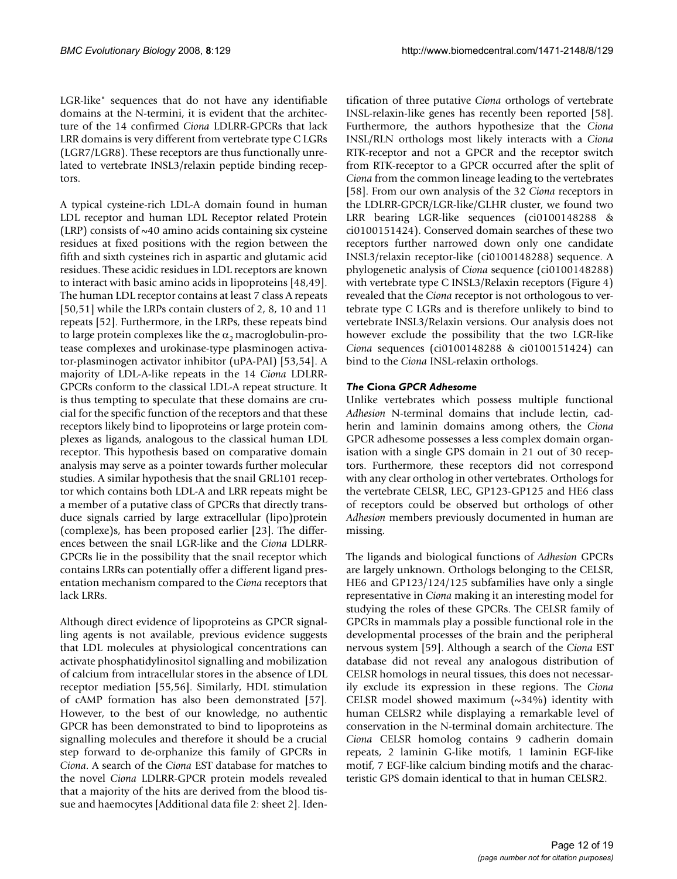LGR-like" sequences that do not have any identifiable domains at the N-termini, it is evident that the architecture of the 14 confirmed *Ciona* LDLRR-GPCRs that lack LRR domains is very different from vertebrate type C LGRs (LGR7/LGR8). These receptors are thus functionally unrelated to vertebrate INSL3/relaxin peptide binding receptors.

A typical cysteine-rich LDL-A domain found in human LDL receptor and human LDL Receptor related Protein (LRP) consists of  $~40$  amino acids containing six cysteine residues at fixed positions with the region between the fifth and sixth cysteines rich in aspartic and glutamic acid residues. These acidic residues in LDL receptors are known to interact with basic amino acids in lipoproteins [48,49]. The human LDL receptor contains at least 7 class A repeats [50,51] while the LRPs contain clusters of 2, 8, 10 and 11 repeats [52]. Furthermore, in the LRPs, these repeats bind to large protein complexes like the  $\alpha_2$  macroglobulin-protease complexes and urokinase-type plasminogen activator-plasminogen activator inhibitor (uPA-PAI) [53,54]. A majority of LDL-A-like repeats in the 14 *Ciona* LDLRR-GPCRs conform to the classical LDL-A repeat structure. It is thus tempting to speculate that these domains are crucial for the specific function of the receptors and that these receptors likely bind to lipoproteins or large protein complexes as ligands, analogous to the classical human LDL receptor. This hypothesis based on comparative domain analysis may serve as a pointer towards further molecular studies. A similar hypothesis that the snail GRL101 receptor which contains both LDL-A and LRR repeats might be a member of a putative class of GPCRs that directly transduce signals carried by large extracellular (lipo)protein (complexe)s, has been proposed earlier [23]. The differences between the snail LGR-like and the *Ciona* LDLRR-GPCRs lie in the possibility that the snail receptor which contains LRRs can potentially offer a different ligand presentation mechanism compared to the *Ciona* receptors that lack LRRs.

Although direct evidence of lipoproteins as GPCR signalling agents is not available, previous evidence suggests that LDL molecules at physiological concentrations can activate phosphatidylinositol signalling and mobilization of calcium from intracellular stores in the absence of LDL receptor mediation [55,56]. Similarly, HDL stimulation of cAMP formation has also been demonstrated [57]. However, to the best of our knowledge, no authentic GPCR has been demonstrated to bind to lipoproteins as signalling molecules and therefore it should be a crucial step forward to de-orphanize this family of GPCRs in *Ciona*. A search of the *Ciona* EST database for matches to the novel *Ciona* LDLRR-GPCR protein models revealed that a majority of the hits are derived from the blood tissue and haemocytes [Additional data file 2: sheet 2]. Identification of three putative *Ciona* orthologs of vertebrate INSL-relaxin-like genes has recently been reported [58]. Furthermore, the authors hypothesize that the *Ciona* INSL/RLN orthologs most likely interacts with a *Ciona* RTK-receptor and not a GPCR and the receptor switch from RTK-receptor to a GPCR occurred after the split of *Ciona* from the common lineage leading to the vertebrates [58]. From our own analysis of the 32 *Ciona* receptors in the LDLRR-GPCR/LGR-like/GLHR cluster, we found two LRR bearing LGR-like sequences (ci0100148288 & ci0100151424). Conserved domain searches of these two receptors further narrowed down only one candidate INSL3/relaxin receptor-like (ci0100148288) sequence. A phylogenetic analysis of *Ciona* sequence (ci0100148288) with vertebrate type C INSL3/Relaxin receptors (Figure 4) revealed that the *Ciona* receptor is not orthologous to vertebrate type C LGRs and is therefore unlikely to bind to vertebrate INSL3/Relaxin versions. Our analysis does not however exclude the possibility that the two LGR-like *Ciona* sequences (ci0100148288 & ci0100151424) can bind to the *Ciona* INSL-relaxin orthologs.

#### *The* **Ciona** *GPCR Adhesome*

Unlike vertebrates which possess multiple functional *Adhesion* N-terminal domains that include lectin, cadherin and laminin domains among others, the *Ciona* GPCR adhesome possesses a less complex domain organisation with a single GPS domain in 21 out of 30 receptors. Furthermore, these receptors did not correspond with any clear ortholog in other vertebrates. Orthologs for the vertebrate CELSR, LEC, GP123-GP125 and HE6 class of receptors could be observed but orthologs of other *Adhesion* members previously documented in human are missing.

The ligands and biological functions of *Adhesion* GPCRs are largely unknown. Orthologs belonging to the CELSR, HE6 and GP123/124/125 subfamilies have only a single representative in *Ciona* making it an interesting model for studying the roles of these GPCRs. The CELSR family of GPCRs in mammals play a possible functional role in the developmental processes of the brain and the peripheral nervous system [59]. Although a search of the *Ciona* EST database did not reveal any analogous distribution of CELSR homologs in neural tissues, this does not necessarily exclude its expression in these regions. The *Ciona* CELSR model showed maximum  $(\sim 34\%)$  identity with human CELSR2 while displaying a remarkable level of conservation in the N-terminal domain architecture. The *Ciona* CELSR homolog contains 9 cadherin domain repeats, 2 laminin G-like motifs, 1 laminin EGF-like motif, 7 EGF-like calcium binding motifs and the characteristic GPS domain identical to that in human CELSR2.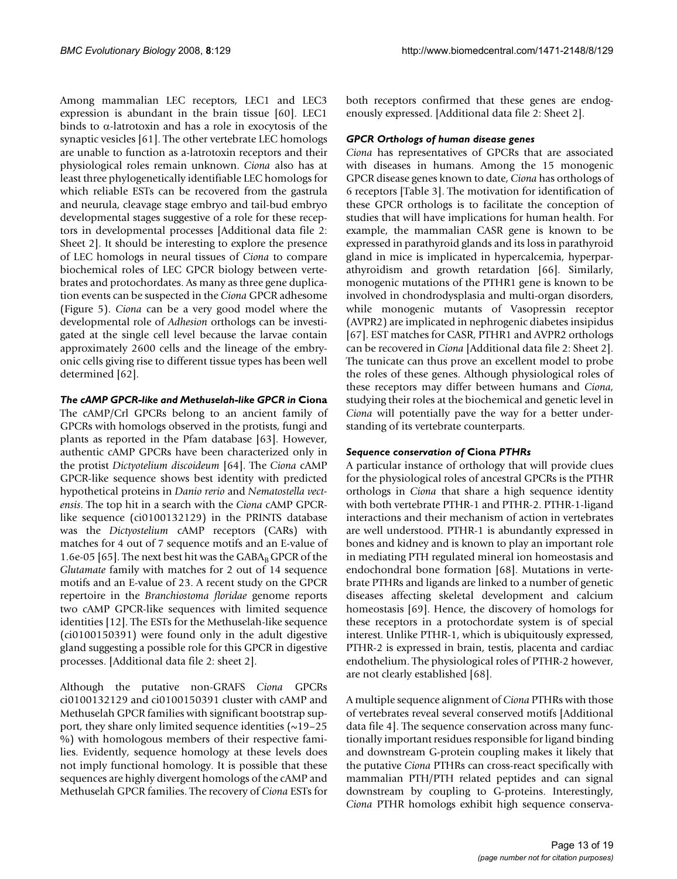Among mammalian LEC receptors, LEC1 and LEC3 expression is abundant in the brain tissue [60]. LEC1 binds to  $\alpha$ -latrotoxin and has a role in exocytosis of the synaptic vesicles [61]. The other vertebrate LEC homologs are unable to function as a-latrotoxin receptors and their physiological roles remain unknown. *Ciona* also has at least three phylogenetically identifiable LEC homologs for which reliable ESTs can be recovered from the gastrula and neurula, cleavage stage embryo and tail-bud embryo developmental stages suggestive of a role for these receptors in developmental processes [Additional data file 2: Sheet 2]. It should be interesting to explore the presence of LEC homologs in neural tissues of *Ciona* to compare biochemical roles of LEC GPCR biology between vertebrates and protochordates. As many as three gene duplication events can be suspected in the *Ciona* GPCR adhesome (Figure 5). *Ciona* can be a very good model where the developmental role of *Adhesion* orthologs can be investigated at the single cell level because the larvae contain approximately 2600 cells and the lineage of the embryonic cells giving rise to different tissue types has been well determined [62].

*The cAMP GPCR-like and Methuselah-like GPCR in* **Ciona**

The cAMP/Crl GPCRs belong to an ancient family of GPCRs with homologs observed in the protists, fungi and plants as reported in the Pfam database [63]. However, authentic cAMP GPCRs have been characterized only in the protist *Dictyotelium discoideum* [64]. The *Ciona* cAMP GPCR-like sequence shows best identity with predicted hypothetical proteins in *Danio rerio* and *Nematostella vectensis*. The top hit in a search with the *Ciona* cAMP GPCRlike sequence (ci0100132129) in the PRINTS database was the *Dictyostelium* cAMP receptors (CARs) with matches for 4 out of 7 sequence motifs and an E-value of 1.6e-05 [65]. The next best hit was the  $GABA_B$  GPCR of the *Glutamate* family with matches for 2 out of 14 sequence motifs and an E-value of 23. A recent study on the GPCR repertoire in the *Branchiostoma floridae* genome reports two cAMP GPCR-like sequences with limited sequence identities [12]. The ESTs for the Methuselah-like sequence (ci0100150391) were found only in the adult digestive gland suggesting a possible role for this GPCR in digestive processes. [Additional data file 2: sheet 2].

Although the putative non-GRAFS *Ciona* GPCRs ci0100132129 and ci0100150391 cluster with cAMP and Methuselah GPCR families with significant bootstrap support, they share only limited sequence identities  $(\sim19-25)$ %) with homologous members of their respective families. Evidently, sequence homology at these levels does not imply functional homology. It is possible that these sequences are highly divergent homologs of the cAMP and Methuselah GPCR families. The recovery of *Ciona* ESTs for both receptors confirmed that these genes are endogenously expressed. [Additional data file 2: Sheet 2].

#### *GPCR Orthologs of human disease genes*

*Ciona* has representatives of GPCRs that are associated with diseases in humans. Among the 15 monogenic GPCR disease genes known to date, *Ciona* has orthologs of 6 receptors [Table 3]. The motivation for identification of these GPCR orthologs is to facilitate the conception of studies that will have implications for human health. For example, the mammalian CASR gene is known to be expressed in parathyroid glands and its loss in parathyroid gland in mice is implicated in hypercalcemia, hyperparathyroidism and growth retardation [66]. Similarly, monogenic mutations of the PTHR1 gene is known to be involved in chondrodysplasia and multi-organ disorders, while monogenic mutants of Vasopressin receptor (AVPR2) are implicated in nephrogenic diabetes insipidus [67]. EST matches for CASR, PTHR1 and AVPR2 orthologs can be recovered in *Ciona* [Additional data file 2: Sheet 2]. The tunicate can thus prove an excellent model to probe the roles of these genes. Although physiological roles of these receptors may differ between humans and *Ciona*, studying their roles at the biochemical and genetic level in *Ciona* will potentially pave the way for a better understanding of its vertebrate counterparts.

#### *Sequence conservation of* **Ciona** *PTHRs*

A particular instance of orthology that will provide clues for the physiological roles of ancestral GPCRs is the PTHR orthologs in *Ciona* that share a high sequence identity with both vertebrate PTHR-1 and PTHR-2. PTHR-1-ligand interactions and their mechanism of action in vertebrates are well understood. PTHR-1 is abundantly expressed in bones and kidney and is known to play an important role in mediating PTH regulated mineral ion homeostasis and endochondral bone formation [68]. Mutations in vertebrate PTHRs and ligands are linked to a number of genetic diseases affecting skeletal development and calcium homeostasis [69]. Hence, the discovery of homologs for these receptors in a protochordate system is of special interest. Unlike PTHR-1, which is ubiquitously expressed, PTHR-2 is expressed in brain, testis, placenta and cardiac endothelium. The physiological roles of PTHR-2 however, are not clearly established [68].

A multiple sequence alignment of *Ciona* PTHRs with those of vertebrates reveal several conserved motifs [Additional data file 4]. The sequence conservation across many functionally important residues responsible for ligand binding and downstream G-protein coupling makes it likely that the putative *Ciona* PTHRs can cross-react specifically with mammalian PTH/PTH related peptides and can signal downstream by coupling to G-proteins. Interestingly, *Ciona* PTHR homologs exhibit high sequence conserva-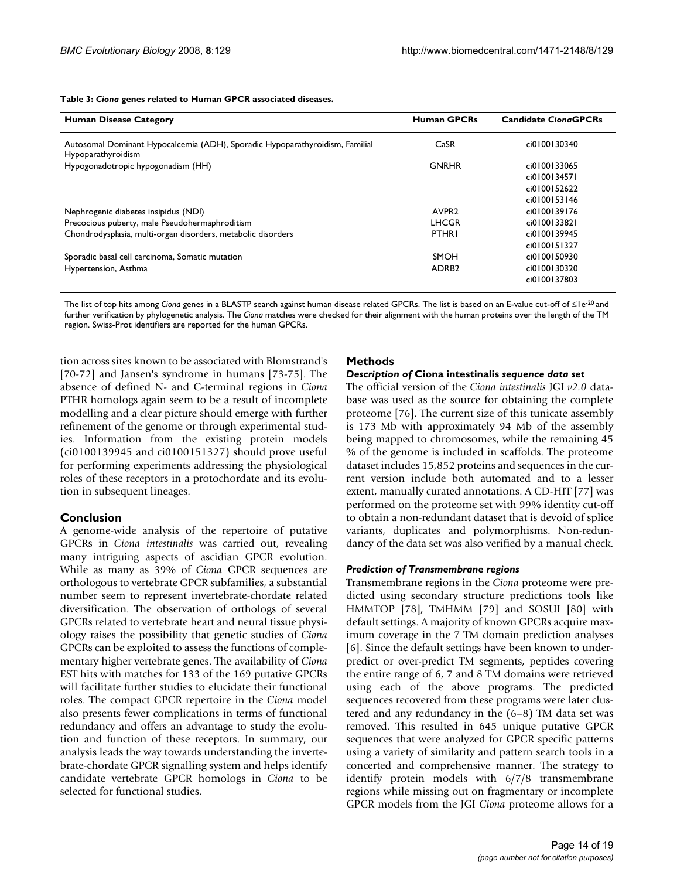| <b>Human Disease Category</b>                                                                      | <b>Human GPCRs</b> | <b>Candidate CiongGPCRs</b> |
|----------------------------------------------------------------------------------------------------|--------------------|-----------------------------|
| Autosomal Dominant Hypocalcemia (ADH), Sporadic Hypoparathyroidism, Familial<br>Hypoparathyroidism | CaSR               | ci0100130340                |
| Hypogonadotropic hypogonadism (HH)                                                                 | <b>GNRHR</b>       | ci0100133065                |
|                                                                                                    |                    | ci0100134571                |
|                                                                                                    |                    | ci0100152622                |
|                                                                                                    |                    | ci0100153146                |
| Nephrogenic diabetes insipidus (NDI)                                                               | AVPR <sub>2</sub>  | ci0100139176                |
| Precocious puberty, male Pseudohermaphroditism                                                     | <b>LHCGR</b>       | ci0100133821                |
| Chondrodysplasia, multi-organ disorders, metabolic disorders                                       | <b>PTHRI</b>       | ci0100139945                |
|                                                                                                    |                    | ci0100151327                |
| Sporadic basal cell carcinoma, Somatic mutation                                                    | <b>SMOH</b>        | ci0100150930                |
| Hypertension, Asthma                                                                               | ADRB <sub>2</sub>  | ci0100130320                |
|                                                                                                    |                    | ci0100137803                |

**Table 3:** *Ciona* **genes related to Human GPCR associated diseases.**

The list of top hits among *Ciona* genes in a BLASTP search against human disease related GPCRs. The list is based on an E-value cut-off of  $\leq$  le<sup>-20</sup> and further verification by phylogenetic analysis. The *Ciona* matches were checked for their alignment with the human proteins over the length of the TM region. Swiss-Prot identifiers are reported for the human GPCRs.

tion across sites known to be associated with Blomstrand's [70-72] and Jansen's syndrome in humans [73-75]. The absence of defined N- and C-terminal regions in *Ciona* PTHR homologs again seem to be a result of incomplete modelling and a clear picture should emerge with further refinement of the genome or through experimental studies. Information from the existing protein models (ci0100139945 and ci0100151327) should prove useful for performing experiments addressing the physiological roles of these receptors in a protochordate and its evolution in subsequent lineages.

#### **Conclusion**

A genome-wide analysis of the repertoire of putative GPCRs in *Ciona intestinalis* was carried out, revealing many intriguing aspects of ascidian GPCR evolution. While as many as 39% of *Ciona* GPCR sequences are orthologous to vertebrate GPCR subfamilies, a substantial number seem to represent invertebrate-chordate related diversification. The observation of orthologs of several GPCRs related to vertebrate heart and neural tissue physiology raises the possibility that genetic studies of *Ciona* GPCRs can be exploited to assess the functions of complementary higher vertebrate genes. The availability of *Ciona* EST hits with matches for 133 of the 169 putative GPCRs will facilitate further studies to elucidate their functional roles. The compact GPCR repertoire in the *Ciona* model also presents fewer complications in terms of functional redundancy and offers an advantage to study the evolution and function of these receptors. In summary, our analysis leads the way towards understanding the invertebrate-chordate GPCR signalling system and helps identify candidate vertebrate GPCR homologs in *Ciona* to be selected for functional studies.

#### **Methods**

#### *Description of* **Ciona intestinalis** *sequence data set*

The official version of the *Ciona intestinalis* JGI *v2.0* database was used as the source for obtaining the complete proteome [76]. The current size of this tunicate assembly is 173 Mb with approximately 94 Mb of the assembly being mapped to chromosomes, while the remaining 45 % of the genome is included in scaffolds. The proteome dataset includes 15,852 proteins and sequences in the current version include both automated and to a lesser extent, manually curated annotations. A CD-HIT [77] was performed on the proteome set with 99% identity cut-off to obtain a non-redundant dataset that is devoid of splice variants, duplicates and polymorphisms. Non-redundancy of the data set was also verified by a manual check.

#### *Prediction of Transmembrane regions*

Transmembrane regions in the *Ciona* proteome were predicted using secondary structure predictions tools like HMMTOP [78], TMHMM [79] and SOSUI [80] with default settings. A majority of known GPCRs acquire maximum coverage in the 7 TM domain prediction analyses [6]. Since the default settings have been known to underpredict or over-predict TM segments, peptides covering the entire range of 6, 7 and 8 TM domains were retrieved using each of the above programs. The predicted sequences recovered from these programs were later clustered and any redundancy in the (6–8) TM data set was removed. This resulted in 645 unique putative GPCR sequences that were analyzed for GPCR specific patterns using a variety of similarity and pattern search tools in a concerted and comprehensive manner. The strategy to identify protein models with 6/7/8 transmembrane regions while missing out on fragmentary or incomplete GPCR models from the JGI *Ciona* proteome allows for a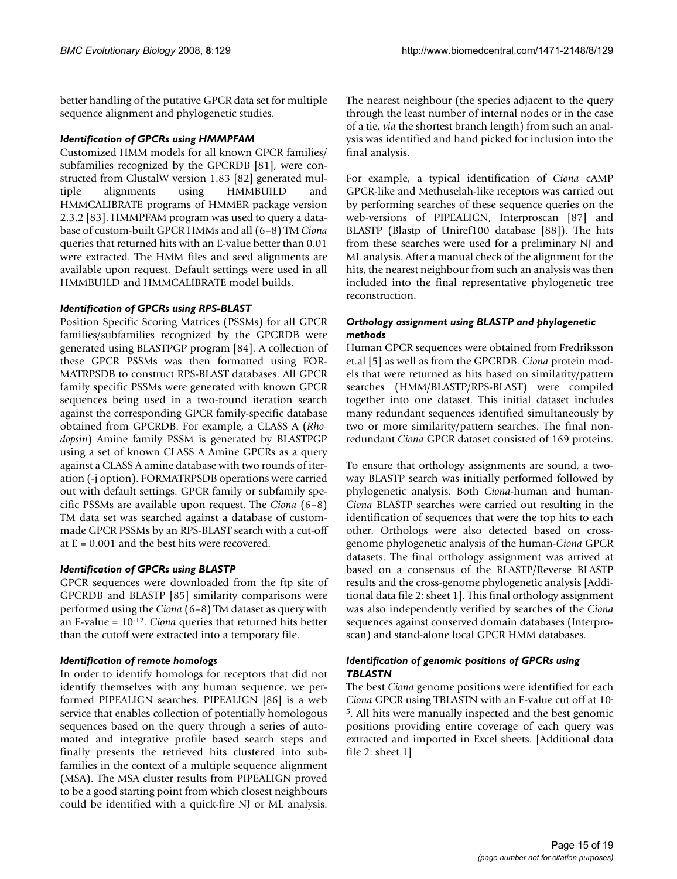better handling of the putative GPCR data set for multiple sequence alignment and phylogenetic studies.

#### *Identification of GPCRs using HMMPFAM*

Customized HMM models for all known GPCR families/ subfamilies recognized by the GPCRDB [81], were constructed from ClustalW version 1.83 [82] generated multiple alignments using HMMBUILD and HMMCALIBRATE programs of HMMER package version 2.3.2 [83]. HMMPFAM program was used to query a database of custom-built GPCR HMMs and all (6–8) TM *Ciona* queries that returned hits with an E-value better than 0.01 were extracted. The HMM files and seed alignments are available upon request. Default settings were used in all HMMBUILD and HMMCALIBRATE model builds.

#### *Identification of GPCRs using RPS-BLAST*

Position Specific Scoring Matrices (PSSMs) for all GPCR families/subfamilies recognized by the GPCRDB were generated using BLASTPGP program [84]. A collection of these GPCR PSSMs was then formatted using FOR-MATRPSDB to construct RPS-BLAST databases. All GPCR family specific PSSMs were generated with known GPCR sequences being used in a two-round iteration search against the corresponding GPCR family-specific database obtained from GPCRDB. For example, a CLASS A (*Rhodopsin*) Amine family PSSM is generated by BLASTPGP using a set of known CLASS A Amine GPCRs as a query against a CLASS A amine database with two rounds of iteration (-j option). FORMATRPSDB operations were carried out with default settings. GPCR family or subfamily specific PSSMs are available upon request. The *Ciona* (6–8) TM data set was searched against a database of custommade GPCR PSSMs by an RPS-BLAST search with a cut-off at  $E = 0.001$  and the best hits were recovered.

#### *Identification of GPCRs using BLASTP*

GPCR sequences were downloaded from the ftp site of GPCRDB and BLASTP [85] similarity comparisons were performed using the *Ciona* (6–8) TM dataset as query with an E-value = 10-12. *Ciona* queries that returned hits better than the cutoff were extracted into a temporary file.

#### *Identification of remote homologs*

In order to identify homologs for receptors that did not identify themselves with any human sequence, we performed PIPEALIGN searches. PIPEALIGN [86] is a web service that enables collection of potentially homologous sequences based on the query through a series of automated and integrative profile based search steps and finally presents the retrieved hits clustered into subfamilies in the context of a multiple sequence alignment (MSA). The MSA cluster results from PIPEALIGN proved to be a good starting point from which closest neighbours could be identified with a quick-fire NJ or ML analysis.

The nearest neighbour (the species adjacent to the query through the least number of internal nodes or in the case of a tie, *via* the shortest branch length) from such an analysis was identified and hand picked for inclusion into the final analysis.

For example, a typical identification of *Ciona* cAMP GPCR-like and Methuselah-like receptors was carried out by performing searches of these sequence queries on the web-versions of PIPEALIGN, Interproscan [87] and BLASTP (Blastp of Uniref100 database [88]). The hits from these searches were used for a preliminary NJ and ML analysis. After a manual check of the alignment for the hits, the nearest neighbour from such an analysis was then included into the final representative phylogenetic tree reconstruction.

#### *Orthology assignment using BLASTP and phylogenetic methods*

Human GPCR sequences were obtained from Fredriksson et.al [5] as well as from the GPCRDB. *Ciona* protein models that were returned as hits based on similarity/pattern searches (HMM/BLASTP/RPS-BLAST) were compiled together into one dataset. This initial dataset includes many redundant sequences identified simultaneously by two or more similarity/pattern searches. The final nonredundant *Ciona* GPCR dataset consisted of 169 proteins.

To ensure that orthology assignments are sound, a twoway BLASTP search was initially performed followed by phylogenetic analysis. Both *Ciona*-human and human-*Ciona* BLASTP searches were carried out resulting in the identification of sequences that were the top hits to each other. Orthologs were also detected based on crossgenome phylogenetic analysis of the human-*Ciona* GPCR datasets. The final orthology assignment was arrived at based on a consensus of the BLASTP/Reverse BLASTP results and the cross-genome phylogenetic analysis [Additional data file 2: sheet 1]. This final orthology assignment was also independently verified by searches of the *Ciona* sequences against conserved domain databases (Interproscan) and stand-alone local GPCR HMM databases.

#### *Identification of genomic positions of GPCRs using TBLASTN*

The best *Ciona* genome positions were identified for each *Ciona* GPCR using TBLASTN with an E-value cut off at 10- 5. All hits were manually inspected and the best genomic positions providing entire coverage of each query was extracted and imported in Excel sheets. [Additional data file 2: sheet 1]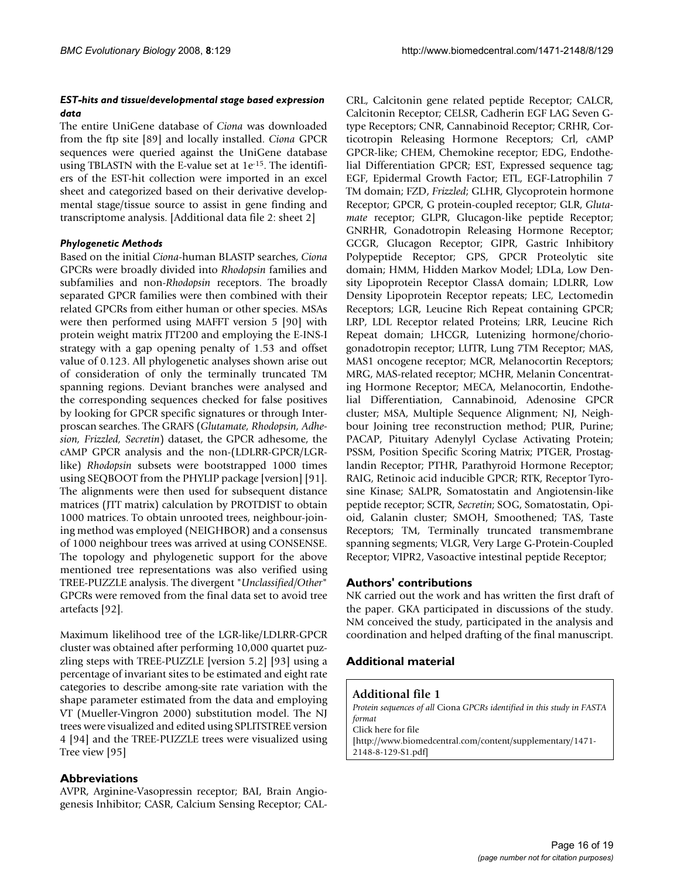#### *EST-hits and tissue/developmental stage based expression data*

The entire UniGene database of *Ciona* was downloaded from the ftp site [89] and locally installed. *Ciona* GPCR sequences were queried against the UniGene database using TBLASTN with the E-value set at 1e-15. The identifiers of the EST-hit collection were imported in an excel sheet and categorized based on their derivative developmental stage/tissue source to assist in gene finding and transcriptome analysis. [Additional data file 2: sheet 2]

# *Phylogenetic Methods*

Based on the initial *Ciona*-human BLASTP searches, *Ciona* GPCRs were broadly divided into *Rhodopsin* families and subfamilies and non-*Rhodopsin* receptors. The broadly separated GPCR families were then combined with their related GPCRs from either human or other species. MSAs were then performed using MAFFT version 5 [90] with protein weight matrix JTT200 and employing the E-INS-I strategy with a gap opening penalty of 1.53 and offset value of 0.123. All phylogenetic analyses shown arise out of consideration of only the terminally truncated TM spanning regions. Deviant branches were analysed and the corresponding sequences checked for false positives by looking for GPCR specific signatures or through Interproscan searches. The GRAFS (*Glutamate, Rhodopsin, Adhesion, Frizzled, Secretin*) dataset, the GPCR adhesome, the cAMP GPCR analysis and the non-(LDLRR-GPCR/LGRlike) *Rhodopsin* subsets were bootstrapped 1000 times using SEQBOOT from the PHYLIP package [version] [91]. The alignments were then used for subsequent distance matrices (JTT matrix) calculation by PROTDIST to obtain 1000 matrices. To obtain unrooted trees, neighbour-joining method was employed (NEIGHBOR) and a consensus of 1000 neighbour trees was arrived at using CONSENSE. The topology and phylogenetic support for the above mentioned tree representations was also verified using TREE-PUZZLE analysis. The divergent "*Unclassified/Other*" GPCRs were removed from the final data set to avoid tree artefacts [92].

Maximum likelihood tree of the LGR-like/LDLRR-GPCR cluster was obtained after performing 10,000 quartet puzzling steps with TREE-PUZZLE [version 5.2] [93] using a percentage of invariant sites to be estimated and eight rate categories to describe among-site rate variation with the shape parameter estimated from the data and employing VT (Mueller-Vingron 2000) substitution model. The NJ trees were visualized and edited using SPLITSTREE version 4 [94] and the TREE-PUZZLE trees were visualized using Tree view [95]

# **Abbreviations**

AVPR, Arginine-Vasopressin receptor; BAI, Brain Angiogenesis Inhibitor; CASR, Calcium Sensing Receptor; CAL-

CRL, Calcitonin gene related peptide Receptor; CALCR, Calcitonin Receptor; CELSR, Cadherin EGF LAG Seven Gtype Receptors; CNR, Cannabinoid Receptor; CRHR, Corticotropin Releasing Hormone Receptors; Crl, cAMP GPCR-like; CHEM, Chemokine receptor; EDG, Endothelial Differentiation GPCR; EST, Expressed sequence tag; EGF, Epidermal Growth Factor; ETL, EGF-Latrophilin 7 TM domain; FZD, *Frizzled*; GLHR, Glycoprotein hormone Receptor; GPCR, G protein-coupled receptor; GLR, *Glutamate* receptor; GLPR, Glucagon-like peptide Receptor; GNRHR, Gonadotropin Releasing Hormone Receptor; GCGR, Glucagon Receptor; GIPR, Gastric Inhibitory Polypeptide Receptor; GPS, GPCR Proteolytic site domain; HMM, Hidden Markov Model; LDLa, Low Density Lipoprotein Receptor ClassA domain; LDLRR, Low Density Lipoprotein Receptor repeats; LEC, Lectomedin Receptors; LGR, Leucine Rich Repeat containing GPCR; LRP, LDL Receptor related Proteins; LRR, Leucine Rich Repeat domain; LHCGR, Lutenizing hormone/choriogonadotropin receptor; LUTR, Lung 7TM Receptor; MAS, MAS1 oncogene receptor; MCR, Melanocortin Receptors; MRG, MAS-related receptor; MCHR, Melanin Concentrating Hormone Receptor; MECA, Melanocortin, Endothelial Differentiation, Cannabinoid, Adenosine GPCR cluster; MSA, Multiple Sequence Alignment; NJ, Neighbour Joining tree reconstruction method; PUR, Purine; PACAP, Pituitary Adenylyl Cyclase Activating Protein; PSSM, Position Specific Scoring Matrix; PTGER, Prostaglandin Receptor; PTHR, Parathyroid Hormone Receptor; RAIG, Retinoic acid inducible GPCR; RTK, Receptor Tyrosine Kinase; SALPR, Somatostatin and Angiotensin-like peptide receptor; SCTR, *Secretin*; SOG, Somatostatin, Opioid, Galanin cluster; SMOH, Smoothened; TAS, Taste Receptors; TM, Terminally truncated transmembrane spanning segments; VLGR, Very Large G-Protein-Coupled Receptor; VIPR2, Vasoactive intestinal peptide Receptor;

# **Authors' contributions**

NK carried out the work and has written the first draft of the paper. GKA participated in discussions of the study. NM conceived the study, participated in the analysis and coordination and helped drafting of the final manuscript.

# **Additional material**

**Additional file 1** *Protein sequences of all* Ciona *GPCRs identified in this study in FASTA format* Click here for file [http://www.biomedcentral.com/content/supplementary/1471- 2148-8-129-S1.pdf]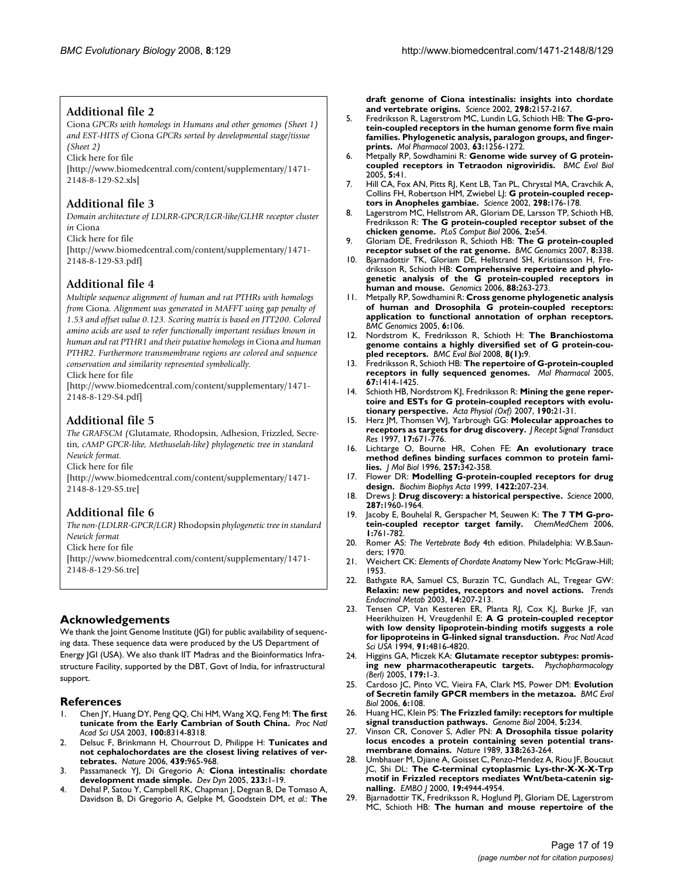### **Additional file 2**

Ciona *GPCRs with homologs in Humans and other genomes (Sheet 1) and EST-HITS of* Ciona *GPCRs sorted by developmental stage/tissue (Sheet 2)*

Click here for file

[http://www.biomedcentral.com/content/supplementary/1471- 2148-8-129-S2.xls]

# **Additional file 3**

*Domain architecture of LDLRR-GPCR/LGR-like/GLHR receptor cluster in* Ciona

Click here for file

[http://www.biomedcentral.com/content/supplementary/1471- 2148-8-129-S3.pdf]

# **Additional file 4**

*Multiple sequence alignment of human and rat PTHRs with homologs from* Ciona*. Alignment was generated in MAFFT using gap penalty of 1.53 and offset value 0.123. Scoring matrix is based on JTT200. Colored amino acids are used to refer functionally important residues known in human and rat PTHR1 and their putative homologs in* Ciona *and human PTHR2. Furthermore transmembrane regions are colored and sequence conservation and similarity represented symbolically.*

Click here for file

[http://www.biomedcentral.com/content/supplementary/1471- 2148-8-129-S4.pdf]

# **Additional file 5**

*The GRAFSCM (*Glutamate, Rhodopsin, Adhesion, Frizzled, Secretin*, cAMP GPCR-like, Methuselah-like) phylogenetic tree in standard Newick format.*

Click here for file

[http://www.biomedcentral.com/content/supplementary/1471- 2148-8-129-S5.tre]

# **Additional file 6**

*The non-(LDLRR-GPCR/LGR)* Rhodopsin *phylogenetic tree in standard Newick format*

Click here for file

[http://www.biomedcentral.com/content/supplementary/1471- 2148-8-129-S6.tre]

#### **Acknowledgements**

We thank the Joint Genome Institute (JGI) for public availability of sequencing data. These sequence data were produced by the US Department of Energy JGI (USA). We also thank IIT Madras and the Bioinformatics Infrastructure Facility, supported by the DBT, Govt of India, for infrastructural support.

#### **References**

- 1. Chen JY, Huang DY, Peng QQ, Chi HM, Wang XQ, Feng M: **The first tunicate from the Early Cambrian of South China.** *Proc Natl Acad Sci USA* 2003, **100:**8314-8318.
- 2. Delsuc F, Brinkmann H, Chourrout D, Philippe H: **Tunicates and not cephalochordates are the closest living relatives of vertebrates.** *Nature* 2006, **439:**965-968.
- 3. Passamaneck YJ, Di Gregorio A: **Ciona intestinalis: chordate development made simple.** *Dev Dyn* 2005, **233:**1-19.
- 4. Dehal P, Satou Y, Campbell RK, Chapman J, Degnan B, De Tomaso A, Davidson B, Di Gregorio A, Gelpke M, Goodstein DM, *et al.*: **The**

**draft genome of Ciona intestinalis: insights into chordate and vertebrate origins.** *Science* 2002, **298:**2157-2167.

- 5. Fredriksson R, Lagerstrom MC, Lundin LG, Schioth HB: **The G-protein-coupled receptors in the human genome form five main families. Phylogenetic analysis, paralogon groups, and fingerprints.** *Mol Pharmacol* 2003, **63:**1256-1272.
- 6. Metpally RP, Sowdhamini R: **Genome wide survey of G proteincoupled receptors in Tetraodon nigroviridis.** *BMC Evol Biol* 2005, **5:**41.
- 7. Hill CA, Fox AN, Pitts RJ, Kent LB, Tan PL, Chrystal MA, Cravchik A, Collins FH, Robertson HM, Zwiebel LJ: **G protein-coupled receptors in Anopheles gambiae.** *Science* 2002, **298:**176-178.
- 8. Lagerstrom MC, Hellstrom AR, Gloriam DE, Larsson TP, Schioth HB, Fredriksson R: **The G protein-coupled receptor subset of the chicken genome.** *PLoS Comput Biol* 2006, **2:**e54.
- 9. Gloriam DE, Fredriksson R, Schioth HB: **The G protein-coupled receptor subset of the rat genome.** *BMC Genomics* 2007, **8:**338.
- 10. Bjarnadottir TK, Gloriam DE, Hellstrand SH, Kristiansson H, Fredriksson R, Schioth HB: **Comprehensive repertoire and phylogenetic analysis of the G protein-coupled receptors in human and mouse.** *Genomics* 2006, **88:**263-273.
- 11. Metpally RP, Sowdhamini R: **Cross genome phylogenetic analysis of human and Drosophila G protein-coupled receptors: application to functional annotation of orphan receptors.** *BMC Genomics* 2005, **6:**106.
- 12. Nordstrom K, Fredriksson R, Schioth H: **The Branchiostoma genome contains a highly diversified set of G protein-coupled receptors.** *BMC Evol Biol* 2008, **8(1):**9.
- 13. Fredriksson R, Schioth HB: **The repertoire of G-protein-coupled receptors in fully sequenced genomes.** *Mol Pharmacol* 2005, **67:**1414-1425.
- 14. Schioth HB, Nordstrom KJ, Fredriksson R: **Mining the gene repertoire and ESTs for G protein-coupled receptors with evolutionary perspective.** *Acta Physiol (Oxf)* 2007, **190:**21-31.
- 15. Herz JM, Thomsen WJ, Yarbrough GG: **Molecular approaches to receptors as targets for drug discovery.** *J Recept Signal Transduct Res* 1997, **17:**671-776.
- 16. Lichtarge O, Bourne HR, Cohen FE: **An evolutionary trace method defines binding surfaces common to protein families.** *J Mol Biol* 1996, **257:**342-358.
- 17. Flower DR: **Modelling G-protein-coupled receptors for drug design.** *Biochim Biophys Acta* 1999, **1422:**207-234.
- 18. Drews J: **Drug discovery: a historical perspective.** *Science* 2000, **287:**1960-1964.
- 19. Jacoby E, Bouhelal R, Gerspacher M, Seuwen K: **The 7 TM G-protein-coupled receptor target family.** *ChemMedChem* 2006, **1:**761-782.
- 20. Romer AS: *The Vertebrate Body* 4th edition. Philadelphia: W.B.Saunders; 1970.
- 21. Weichert CK: *Elements of Chordate Anatomy* New York: McGraw-Hill; 1953.
- 22. Bathgate RA, Samuel CS, Burazin TC, Gundlach AL, Tregear GW: **Relaxin: new peptides, receptors and novel actions.** *Trends Endocrinol Metab* 2003, **14:**207-213.
- 23. Tensen CP, Van Kesteren ER, Planta RJ, Cox KJ, Burke JF, van Heerikhuizen H, Vreugdenhil E: **A G protein-coupled receptor with low density lipoprotein-binding motifs suggests a role for lipoproteins in G-linked signal transduction.** *Proc Natl Acad Sci USA* 1994, **91:**4816-4820.
- 24. Higgins GA, Miczek KA: **Glutamate receptor subtypes: promising new pharmacotherapeutic targets.** *Psychopharmacology (Berl)* 2005, **179:**1-3.
- 25. Cardoso JC, Pinto VC, Vieira FA, Clark MS, Power DM: **Evolution of Secretin family GPCR members in the metazoa.** *BMC Evol Biol* 2006, **6:**108.
- 26. Huang HC, Klein PS: **The Frizzled family: receptors for multiple signal transduction pathways.** *Genome Biol* 2004, **5:**234.
- 27. Vinson CR, Conover S, Adler PN: **A Drosophila tissue polarity locus encodes a protein containing seven potential transmembrane domains.** *Nature* 1989, **338:**263-264.
- 28. Umbhauer M, Djiane A, Goisset C, Penzo-Mendez A, Riou JF, Boucaut JC, Shi DL: **The C-terminal cytoplasmic Lys-thr-X-X-X-Trp motif in Frizzled receptors mediates Wnt/beta-catenin signalling.** *EMBO J* 2000, **19:**4944-4954.
- 29. Bjarnadottir TK, Fredriksson R, Hoglund PJ, Gloriam DE, Lagerstrom MC, Schioth HB: **The human and mouse repertoire of the**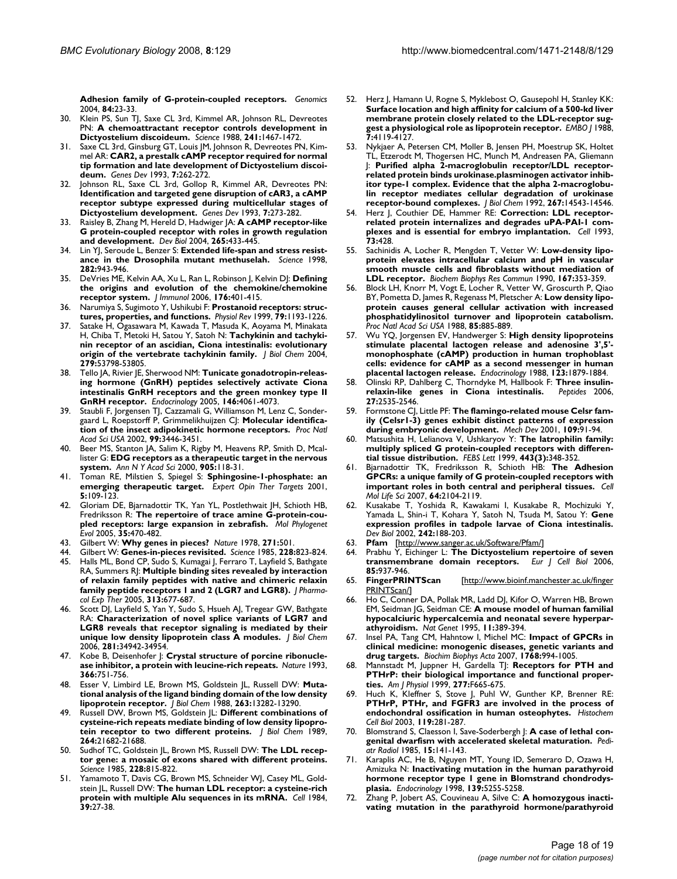**Adhesion family of G-protein-coupled receptors.** *Genomics* 2004, **84:**23-33.

- 30. Klein PS, Sun TJ, Saxe CL 3rd, Kimmel AR, Johnson RL, Devreotes PN: **A chemoattractant receptor controls development in Dictyostelium discoideum.** *Science* 1988, **241:**1467-1472.
- 31. Saxe CL 3rd, Ginsburg GT, Louis JM, Johnson R, Devreotes PN, Kimmel AR: **CAR2, a prestalk cAMP receptor required for normal tip formation and late development of Dictyostelium discoideum.** *Genes Dev* 1993, **7:**262-272.
- Johnson RL, Saxe CL 3rd, Gollop R, Kimmel AR, Devreotes PN: **Identification and targeted gene disruption of cAR3, a cAMP receptor subtype expressed during multicellular stages of Dictyostelium development.** *Genes Dev* 1993, **7:**273-282.
- 33. Raisley B, Zhang M, Hereld D, Hadwiger JA: **A cAMP receptor-like G protein-coupled receptor with roles in growth regulation and development.** *Dev Biol* 2004, **265:**433-445.
- 34. Lin YJ, Seroude L, Benzer S: **Extended life-span and stress resistance in the Drosophila mutant methuselah.** *Science* 1998, **282:**943-946.
- 35. DeVries ME, Kelvin AA, Xu L, Ran L, Robinson J, Kelvin DJ: **Defining the origins and evolution of the chemokine/chemokine receptor system.** *J Immunol* 2006, **176:**401-415.
- 36. Narumiya S, Sugimoto Y, Ushikubi F: **Prostanoid receptors: structures, properties, and functions.** *Physiol Rev* 1999, **79:**1193-1226.
- 37. Satake H, Ogasawara M, Kawada T, Masuda K, Aoyama M, Minakata H, Chiba T, Metoki H, Satou Y, Satoh N: **Tachykinin and tachykinin receptor of an ascidian, Ciona intestinalis: evolutionary origin of the vertebrate tachykinin family.** *J Biol Chem* 2004, **279:**53798-53805.
- 38. Tello JA, Rivier JE, Sherwood NM: **Tunicate gonadotropin-releasing hormone (GnRH) peptides selectively activate Ciona intestinalis GnRH receptors and the green monkey type II GnRH receptor.** *Endocrinology* 2005, **146:**4061-4073.
- 39. Staubli F, Jorgensen TJ, Cazzamali G, Williamson M, Lenz C, Sondergaard L, Roepstorff P, Grimmelikhuijzen CJ: **Molecular identification of the insect adipokinetic hormone receptors.** *Proc Natl Acad Sci USA* 2002, **99:**3446-3451.
- 40. Beer MS, Stanton JA, Salim K, Rigby M, Heavens RP, Smith D, Mcallister G: **EDG receptors as a therapeutic target in the nervous system.** *Ann N Y Acad Sci* 2000, **905:**118-31.
- 41. Toman RE, Milstien S, Spiegel S: **Sphingosine-1-phosphate: an emerging therapeutic target.** *Expert Opin Ther Targets* 2001, **5:**109-123.
- 42. Gloriam DE, Bjarnadottir TK, Yan YL, Postlethwait JH, Schioth HB, Fredriksson R: **The repertoire of trace amine G-protein-coupled receptors: large expansion in zebrafish.** *Mol Phylogenet Evol* 2005, **35:**470-482.
- 43. Gilbert W: **Why genes in pieces?** *Nature* 1978, **271:**501.
- 44. Gilbert W: **Genes-in-pieces revisited.** *Science* 1985, **228:**823-824. 45. Halls ML, Bond CP, Sudo S, Kumagai J, Ferraro T, Layfield S, Bathgate RA, Summers RJ: **Multiple binding sites revealed by interaction of relaxin family peptides with native and chimeric relaxin family peptide receptors 1 and 2 (LGR7 and LGR8).** *J Pharmacol Exp Ther* 2005, **313:**677-687.
- Scott DJ, Layfield S, Yan Y, Sudo S, Hsueh AJ, Tregear GW, Bathgate RA: **Characterization of novel splice variants of LGR7 and LGR8 reveals that receptor signaling is mediated by their unique low density lipoprotein class A modules.** *J Biol Chem* 2006, **281:**34942-34954.
- 47. Kobe B, Deisenhofer |: Crystal structure of porcine ribonucle**ase inhibitor, a protein with leucine-rich repeats.** *Nature* 1993, **366:**751-756.
- 48. Esser V, Limbird LE, Brown MS, Goldstein JL, Russell DW: **Mutational analysis of the ligand binding domain of the low density lipoprotein receptor.** *J Biol Chem* 1988, **263:**13282-13290.
- 49. Russell DW, Brown MS, Goldstein JL: **Different combinations of cysteine-rich repeats mediate binding of low density lipoprotein receptor to two different proteins.** *J Biol Chem* 1989, **264:**21682-21688.
- 50. Sudhof TC, Goldstein JL, Brown MS, Russell DW: **The LDL receptor gene: a mosaic of exons shared with different proteins.** *Science* 1985, **228:**815-822.
- 51. Yamamoto T, Davis CG, Brown MS, Schneider WJ, Casey ML, Goldstein JL, Russell DW: **The human LDL receptor: a cysteine-rich protein with multiple Alu sequences in its mRNA.** *Cell* 1984, **39:**27-38.
- 52. Herz J, Hamann U, Rogne S, Myklebost O, Gausepohl H, Stanley KK: **Surface location and high affinity for calcium of a 500-kd liver membrane protein closely related to the LDL-receptor suggest a physiological role as lipoprotein receptor.** *EMBO J* 1988, **7:**4119-4127.
- 53. Nykjaer A, Petersen CM, Moller B, Jensen PH, Moestrup SK, Holtet TL, Etzerodt M, Thogersen HC, Munch M, Andreasen PA, Gliemann J: **Purified alpha 2-macroglobulin receptor/LDL receptorrelated protein binds urokinase.plasminogen activator inhibitor type-1 complex. Evidence that the alpha 2-macroglobulin receptor mediates cellular degradation of urokinase receptor-bound complexes.** *J Biol Chem* 1992, **267:**14543-14546.
- Herz J, Couthier DE, Hammer RE: Correction: LDL receptor**related protein internalizes and degrades uPA-PAI-1 complexes and is essential for embryo implantation.** *Cell* 1993, **73:**428.
- 55. Sachinidis A, Locher R, Mengden T, Vetter W: **Low-density lipoprotein elevates intracellular calcium and pH in vascular smooth muscle cells and fibroblasts without mediation of LDL receptor.** *Biochem Biophys Res Commun* 1990, **167:**353-359.
- 56. Block LH, Knorr M, Vogt E, Locher R, Vetter W, Groscurth P, Qiao BY, Pometta D, James R, Regenass M, Pletscher A: **Low density lipoprotein causes general cellular activation with increased phosphatidylinositol turnover and lipoprotein catabolism.** *Proc Natl Acad Sci USA* 1988, **85:**885-889.
- 57. Wu YQ, Jorgensen EV, Handwerger S: **High density lipoproteins stimulate placental lactogen release and adenosine 3',5' monophosphate (cAMP) production in human trophoblast cells: evidence for cAMP as a second messenger in human placental lactogen release.** *Endocrinology* 1988, **123:**1879-1884.
- 58. Olinski RP, Dahlberg C, Thorndyke M, Hallbook F: **Three insulinrelaxin-like genes in Ciona intestinalis.** *Peptides* 2006, **27:**2535-2546.
- 59. Formstone CJ, Little PF: **The flamingo-related mouse Celsr family (Celsr1-3) genes exhibit distinct patterns of expression during embryonic development.** *Mech Dev* 2001, **109:**91-94.
- Matsushita H, Lelianova V, Ushkaryov Y: The latrophilin family: **multiply spliced G protein-coupled receptors with differential tissue distribution.** *FEBS Lett* 1999, **443(3):**348-352.
- 61. Bjarnadottir TK, Fredriksson R, Schioth HB: **The Adhesion GPCRs: a unique family of G protein-coupled receptors with important roles in both central and peripheral tissues.** *Cell Mol Life Sci* 2007, **64:**2104-2119.
- 62. Kusakabe T, Yoshida R, Kawakami I, Kusakabe R, Mochizuki Y, Yamada L, Shin-i T, Kohara Y, Satoh N, Tsuda M, Satou Y: **Gene expression profiles in tadpole larvae of Ciona intestinalis.** *Dev Biol* 2002, **242:**188-203.
- 63. **Pfam** [http://www.sanger.ac.uk/Software/Pfam/]
- 64. Prabhu Y, Eichinger L: **The Dictyostelium repertoire of seven transmembrane domain receptors.** *Eur J Cell Biol* 2006,
- **85:937-946.**<br>65. **FingerPRINTScan** [http://www.bioinf.manchester.ac.uk/finger PRINTScan/]
- 66. Ho C, Conner DA, Pollak MR, Ladd DJ, Kifor O, Warren HB, Brown EM, Seidman JG, Seidman CE: **A mouse model of human familial hypocalciuric hypercalcemia and neonatal severe hyperparathyroidism.** *Nat Genet* 1995, **11:**389-394.
- Insel PA, Tang CM, Hahntow I, Michel MC: Impact of GPCRs in **clinical medicine: monogenic diseases, genetic variants and drug targets.** *Biochim Biophys Acta* 2007, **1768:**994-1005.
- 68. Mannstadt M, Juppner H, Gardella TJ: **Receptors for PTH and PTHrP: their biological importance and functional properties.** *Am J Physiol* 1999, **277:**F665-675.
- 69. Huch K, Kleffner S, Stove J, Puhl W, Gunther KP, Brenner RE: **PTHrP, PTHr, and FGFR3 are involved in the process of endochondral ossification in human osteophytes.** *Histochem Cell Biol* 2003, **119:**281-287.
- 70. Blomstrand S, Claesson I, Save-Soderbergh J: **A case of lethal congenital dwarfism with accelerated skeletal maturation.** *Pediatr Radiol* 1985, **15:**141-143.
- 71. Karaplis AC, He B, Nguyen MT, Young ID, Semeraro D, Ozawa H, Amizuka N: **Inactivating mutation in the human parathyroid hormone receptor type 1 gene in Blomstrand chondrodysplasia.** *Endocrinology* 1998, **139:**5255-5258.
- 72. Zhang P, Jobert AS, Couvineau A, Silve C: **A homozygous inactivating mutation in the parathyroid hormone/parathyroid**